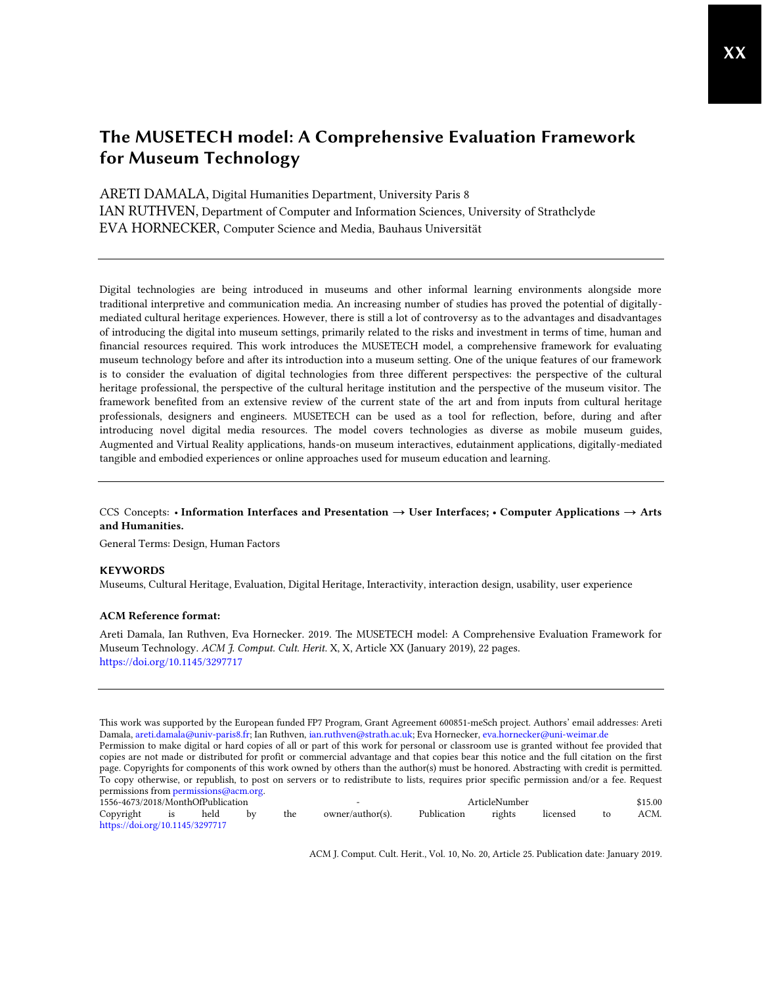ARETI DAMALA, Digital Humanities Department, University Paris 8 IAN RUTHVEN, Department of Computer and Information Sciences, University of Strathclyde EVA HORNECKER, Computer Science and Media, Bauhaus Universität

Digital technologies are being introduced in museums and other informal learning environments alongside more traditional interpretive and communication media. An increasing number of studies has proved the potential of digitallymediated cultural heritage experiences. However, there is still a lot of controversy as to the advantages and disadvantages of introducing the digital into museum settings, primarily related to the risks and investment in terms of time, human and financial resources required. This work introduces the MUSETECH model, a comprehensive framework for evaluating museum technology before and after its introduction into a museum setting. One of the unique features of our framework is to consider the evaluation of digital technologies from three different perspectives: the perspective of the cultural heritage professional, the perspective of the cultural heritage institution and the perspective of the museum visitor. The framework benefited from an extensive review of the current state of the art and from inputs from cultural heritage professionals, designers and engineers. MUSETECH can be used as a tool for reflection, before, during and after introducing novel digital media resources. The model covers technologies as diverse as mobile museum guides, Augmented and Virtual Reality applications, hands-on museum interactives, edutainment applications, digitally-mediated tangible and embodied experiences or online approaches used for museum education and learning.

# CCS Concepts: • Information Interfaces and Presentation → User Interfaces; • Computer Applications → Arts and Humanities.

General Terms: Design, Human Factors

#### KEYWORDS

Museums, Cultural Heritage, Evaluation, Digital Heritage, Interactivity, interaction design, usability, user experience

#### ACM Reference format:

Areti Damala, Ian Ruthven, Eva Hornecker. 2019. The MUSETECH model: A Comprehensive Evaluation Framework for Museum Technology. *ACM J. Comput. Cult. Herit*. X, X, Article XX (January 2019), 22 pages. <https://doi.org/10.1145/3297717>

This work was supported by the European funded FP7 Program, Grant Agreement 600851-meSch project. Authors' email addresses: Areti Damala[, areti.damala@univ-paris8.fr;](mailto:areti.damala@univ-paris8.fr) Ian Ruthven[, ian.ruthven@strath.ac.uk;](mailto:ian.ruthven@strath.ac.uk) Eva Hornecker[, eva.hornecker@uni-weimar.de](mailto:eva.hornecker@uni-weimar.de) Permission to make digital or hard copies of all or part of this work for personal or classroom use is granted without fee provided that copies are not made or distributed for profit or commercial advantage and that copies bear this notice and the full citation on the first page. Copyrights for components of this work owned by others than the author(s) must be honored. Abstracting with credit is permitted. To copy otherwise, or republish, to post on servers or to redistribute to lists, requires prior specific permission and/or a fee. Request permissions from [permissions@acm.org.](mailto:permissions@acm.org)

| 1556-4673/2018/MonthOfPublication |  |      |    |     | $\overline{\phantom{0}}$ | ArticleNumber |        |          | \$15.00 |  |  |
|-----------------------------------|--|------|----|-----|--------------------------|---------------|--------|----------|---------|--|--|
| Copyright is                      |  | held | by | the | owner/author(s).         | Publication   | rights | licensed | ACM.    |  |  |
| https://doi.org/10.1145/3297717   |  |      |    |     |                          |               |        |          |         |  |  |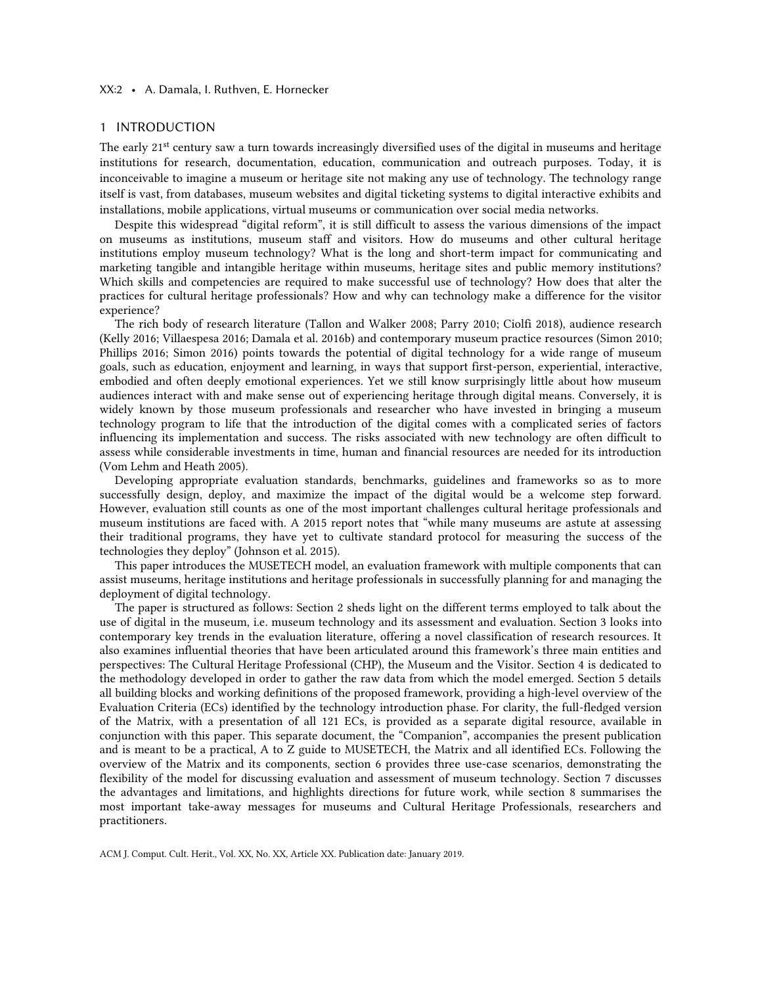### XX:2 • A. Damala, I. Ruthven, E. Hornecker

### 1 INTRODUCTION

The early 21<sup>st</sup> century saw a turn towards increasingly diversified uses of the digital in museums and heritage institutions for research, documentation, education, communication and outreach purposes. Today, it is inconceivable to imagine a museum or heritage site not making any use of technology. The technology range itself is vast, from databases, museum websites and digital ticketing systems to digital interactive exhibits and installations, mobile applications, virtual museums or communication over social media networks.

Despite this widespread "digital reform", it is still difficult to assess the various dimensions of the impact on museums as institutions, museum staff and visitors. How do museums and other cultural heritage institutions employ museum technology? What is the long and short-term impact for communicating and marketing tangible and intangible heritage within museums, heritage sites and public memory institutions? Which skills and competencies are required to make successful use of technology? How does that alter the practices for cultural heritage professionals? How and why can technology make a difference for the visitor experience?

The rich body of research literature (Tallon and Walker 2008; Parry 2010; Ciolfi 2018), audience research (Kelly 2016; Villaespesa 2016; Damala et al. 2016b) and contemporary museum practice resources (Simon 2010; Phillips 2016; Simon 2016) points towards the potential of digital technology for a wide range of museum goals, such as education, enjoyment and learning, in ways that support first-person, experiential, interactive, embodied and often deeply emotional experiences. Yet we still know surprisingly little about how museum audiences interact with and make sense out of experiencing heritage through digital means. Conversely, it is widely known by those museum professionals and researcher who have invested in bringing a museum technology program to life that the introduction of the digital comes with a complicated series of factors influencing its implementation and success. The risks associated with new technology are often difficult to assess while considerable investments in time, human and financial resources are needed for its introduction (Vom Lehm and Heath 2005).

Developing appropriate evaluation standards, benchmarks, guidelines and frameworks so as to more successfully design, deploy, and maximize the impact of the digital would be a welcome step forward. However, evaluation still counts as one of the most important challenges cultural heritage professionals and museum institutions are faced with. A 2015 report notes that "while many museums are astute at assessing their traditional programs, they have yet to cultivate standard protocol for measuring the success of the technologies they deploy" (Johnson et al. 2015).

This paper introduces the MUSETECH model, an evaluation framework with multiple components that can assist museums, heritage institutions and heritage professionals in successfully planning for and managing the deployment of digital technology.

The paper is structured as follows: Section 2 sheds light on the different terms employed to talk about the use of digital in the museum, i.e. museum technology and its assessment and evaluation. Section 3 looks into contemporary key trends in the evaluation literature, offering a novel classification of research resources. It also examines influential theories that have been articulated around this framework's three main entities and perspectives: The Cultural Heritage Professional (CHP), the Museum and the Visitor. Section 4 is dedicated to the methodology developed in order to gather the raw data from which the model emerged. Section 5 details all building blocks and working definitions of the proposed framework, providing a high-level overview of the Evaluation Criteria (ECs) identified by the technology introduction phase. For clarity, the full-fledged version of the Matrix, with a presentation of all 121 ECs, is provided as a separate digital resource, available in conjunction with this paper. This separate document, the "Companion", accompanies the present publication and is meant to be a practical, A to Z guide to MUSETECH, the Matrix and all identified ECs. Following the overview of the Matrix and its components, section 6 provides three use-case scenarios, demonstrating the flexibility of the model for discussing evaluation and assessment of museum technology. Section 7 discusses the advantages and limitations, and highlights directions for future work, while section 8 summarises the most important take-away messages for museums and Cultural Heritage Professionals, researchers and practitioners.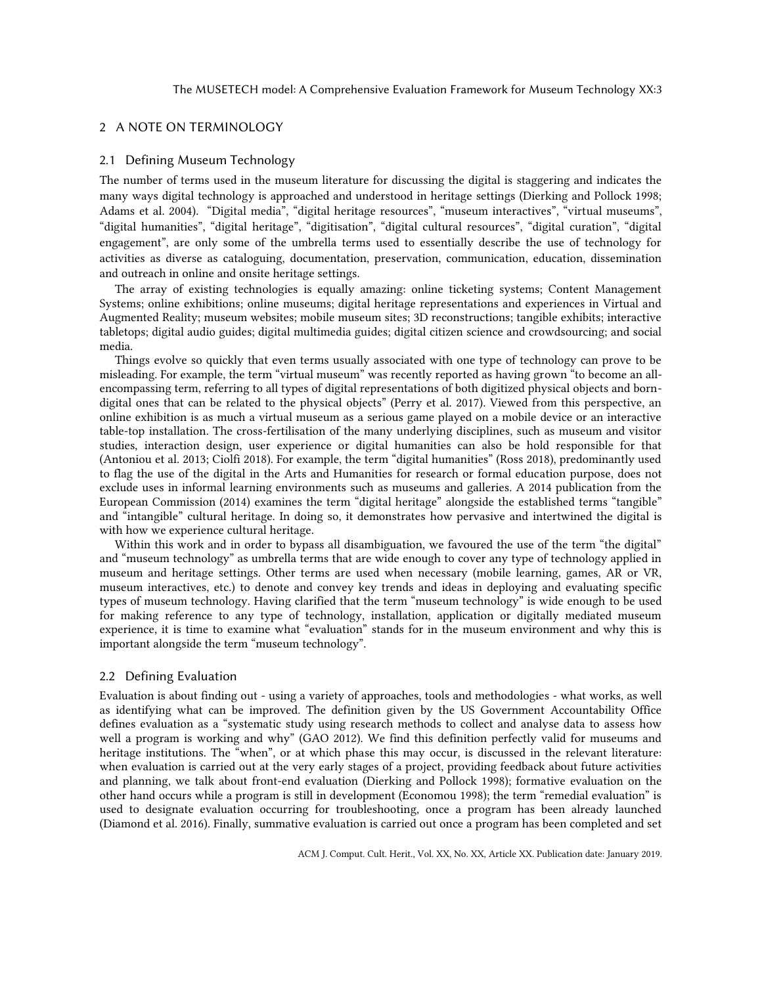# 2 A NOTE ON TERMINOLOGY

#### 2.1 Defining Museum Technology

The number of terms used in the museum literature for discussing the digital is staggering and indicates the many ways digital technology is approached and understood in heritage settings (Dierking and Pollock 1998; Adams et al. 2004). "Digital media", "digital heritage resources", "museum interactives", "virtual museums", "digital humanities", "digital heritage", "digitisation", "digital cultural resources", "digital curation", "digital engagement", are only some of the umbrella terms used to essentially describe the use of technology for activities as diverse as cataloguing, documentation, preservation, communication, education, dissemination and outreach in online and onsite heritage settings.

The array of existing technologies is equally amazing: online ticketing systems; Content Management Systems; online exhibitions; online museums; digital heritage representations and experiences in Virtual and Augmented Reality; museum websites; mobile museum sites; 3D reconstructions; tangible exhibits; interactive tabletops; digital audio guides; digital multimedia guides; digital citizen science and crowdsourcing; and social media.

Things evolve so quickly that even terms usually associated with one type of technology can prove to be misleading. For example, the term "virtual museum" was recently reported as having grown "to become an allencompassing term, referring to all types of digital representations of both digitized physical objects and borndigital ones that can be related to the physical objects" (Perry et al. 2017). Viewed from this perspective, an online exhibition is as much a virtual museum as a serious game played on a mobile device or an interactive table-top installation. The cross-fertilisation of the many underlying disciplines, such as museum and visitor studies, interaction design, user experience or digital humanities can also be hold responsible for that (Antoniou et al. 2013; Ciolfi 2018). For example, the term "digital humanities" (Ross 2018), predominantly used to flag the use of the digital in the Arts and Humanities for research or formal education purpose, does not exclude uses in informal learning environments such as museums and galleries. A 2014 publication from the European Commission (2014) examines the term "digital heritage" alongside the established terms "tangible" and "intangible" cultural heritage. In doing so, it demonstrates how pervasive and intertwined the digital is with how we experience cultural heritage.

Within this work and in order to bypass all disambiguation, we favoured the use of the term "the digital" and "museum technology" as umbrella terms that are wide enough to cover any type of technology applied in museum and heritage settings. Other terms are used when necessary (mobile learning, games, AR or VR, museum interactives, etc.) to denote and convey key trends and ideas in deploying and evaluating specific types of museum technology. Having clarified that the term "museum technology" is wide enough to be used for making reference to any type of technology, installation, application or digitally mediated museum experience, it is time to examine what "evaluation" stands for in the museum environment and why this is important alongside the term "museum technology".

# 2.2 Defining Evaluation

Evaluation is about finding out - using a variety of approaches, tools and methodologies - what works, as well as identifying what can be improved. The definition given by the US Government Accountability Office defines evaluation as a "systematic study using research methods to collect and analyse data to assess how well a program is working and why" (GAO 2012). We find this definition perfectly valid for museums and heritage institutions. The "when", or at which phase this may occur, is discussed in the relevant literature: when evaluation is carried out at the very early stages of a project, providing feedback about future activities and planning, we talk about front-end evaluation (Dierking and Pollock 1998); formative evaluation on the other hand occurs while a program is still in development (Economou 1998); the term "remedial evaluation" is used to designate evaluation occurring for troubleshooting, once a program has been already launched (Diamond et al. 2016). Finally, summative evaluation is carried out once a program has been completed and set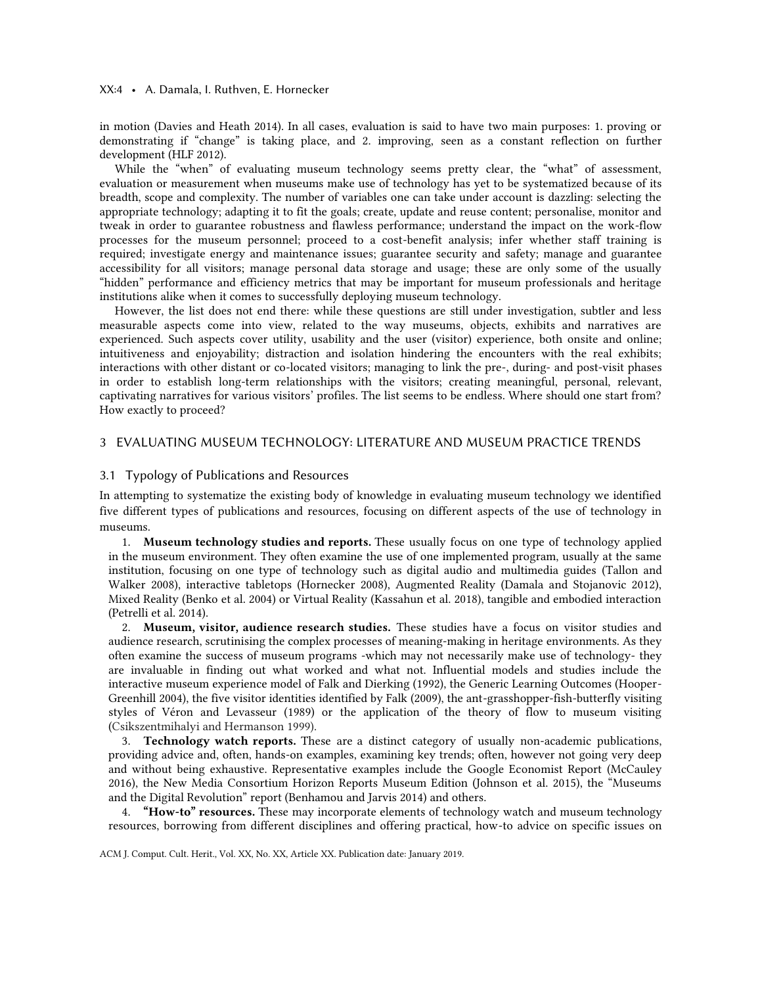### XX:4 • A. Damala, I. Ruthven, E. Hornecker

in motion (Davies and Heath 2014). In all cases, evaluation is said to have two main purposes: 1. proving or demonstrating if "change" is taking place, and 2. improving, seen as a constant reflection on further development (HLF 2012).

While the "when" of evaluating museum technology seems pretty clear, the "what" of assessment, evaluation or measurement when museums make use of technology has yet to be systematized because of its breadth, scope and complexity. The number of variables one can take under account is dazzling: selecting the appropriate technology; adapting it to fit the goals; create, update and reuse content; personalise, monitor and tweak in order to guarantee robustness and flawless performance; understand the impact on the work-flow processes for the museum personnel; proceed to a cost-benefit analysis; infer whether staff training is required; investigate energy and maintenance issues; guarantee security and safety; manage and guarantee accessibility for all visitors; manage personal data storage and usage; these are only some of the usually "hidden" performance and efficiency metrics that may be important for museum professionals and heritage institutions alike when it comes to successfully deploying museum technology.

However, the list does not end there: while these questions are still under investigation, subtler and less measurable aspects come into view, related to the way museums, objects, exhibits and narratives are experienced. Such aspects cover utility, usability and the user (visitor) experience, both onsite and online; intuitiveness and enjoyability; distraction and isolation hindering the encounters with the real exhibits; interactions with other distant or co-located visitors; managing to link the pre-, during- and post-visit phases in order to establish long-term relationships with the visitors; creating meaningful, personal, relevant, captivating narratives for various visitors' profiles. The list seems to be endless. Where should one start from? How exactly to proceed?

### 3 EVALUATING MUSEUM TECHNOLOGY: LITERATURE AND MUSEUM PRACTICE TRENDS

### 3.1 Typology of Publications and Resources

In attempting to systematize the existing body of knowledge in evaluating museum technology we identified five different types of publications and resources, focusing on different aspects of the use of technology in museums.

1. Museum technology studies and reports. These usually focus on one type of technology applied in the museum environment. They often examine the use of one implemented program, usually at the same institution, focusing on one type of technology such as digital audio and multimedia guides (Tallon and Walker 2008), interactive tabletops (Hornecker 2008), Augmented Reality (Damala and Stojanovic 2012), Mixed Reality (Benko et al. 2004) or Virtual Reality (Kassahun et al. 2018), tangible and embodied interaction (Petrelli et al. 2014).

2. Museum, visitor, audience research studies. These studies have a focus on visitor studies and audience research, scrutinising the complex processes of meaning-making in heritage environments. As they often examine the success of museum programs -which may not necessarily make use of technology- they are invaluable in finding out what worked and what not. Influential models and studies include the interactive museum experience model of Falk and Dierking (1992), the Generic Learning Outcomes (Hooper-Greenhill 2004), the five visitor identities identified by Falk (2009), the ant-grasshopper-fish-butterfly visiting styles of Véron and Levasseur (1989) or the application of the theory of flow to museum visiting (Csikszentmihalyi and Hermanson 1999).

3. Technology watch reports. These are a distinct category of usually non-academic publications, providing advice and, often, hands-on examples, examining key trends; often, however not going very deep and without being exhaustive. Representative examples include the Google Economist Report (McCauley 2016), the New Media Consortium Horizon Reports Museum Edition (Johnson et al. 2015), the "Museums and the Digital Revolution" report (Benhamou and Jarvis 2014) and others.

4. "How-to" resources. These may incorporate elements of technology watch and museum technology resources, borrowing from different disciplines and offering practical, how-to advice on specific issues on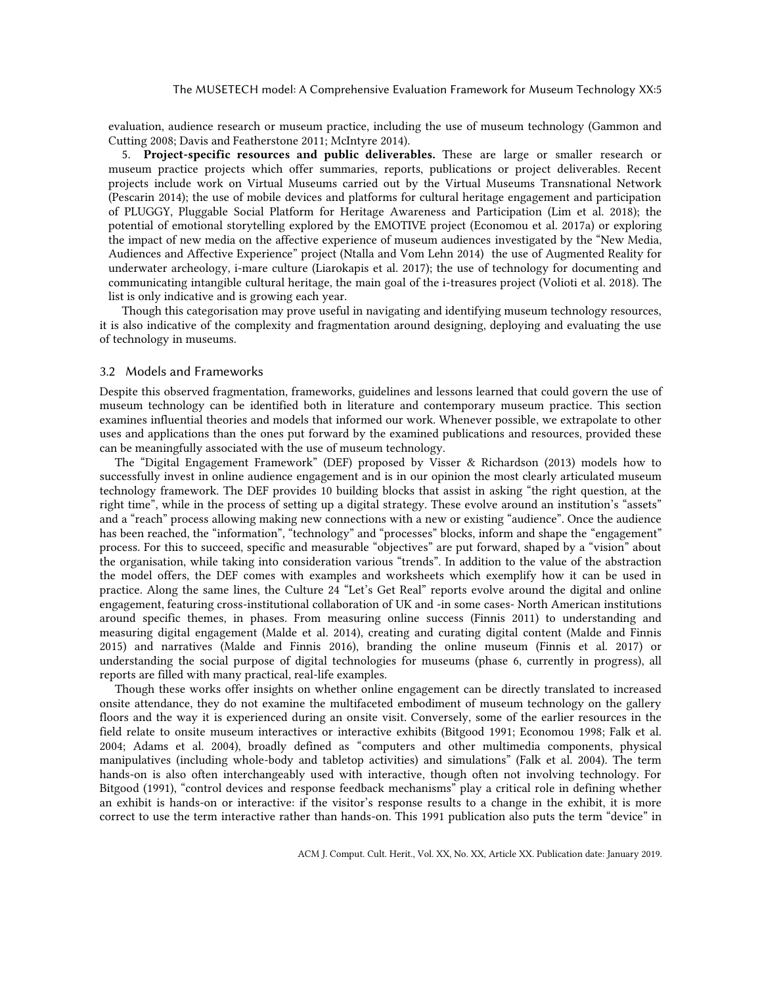evaluation, audience research or museum practice, including the use of museum technology (Gammon and Cutting 2008; Davis and Featherstone 2011; McIntyre 2014).

5. Project-specific resources and public deliverables. These are large or smaller research or museum practice projects which offer summaries, reports, publications or project deliverables. Recent projects include work on Virtual Museums carried out by the Virtual Museums Transnational Network (Pescarin 2014); the use of mobile devices and platforms for cultural heritage engagement and participation of PLUGGY, Pluggable Social Platform for Heritage Awareness and Participation (Lim et al. 2018); the potential of emotional storytelling explored by the EMOTIVE project (Economou et al. 2017a) or exploring the impact of new media on the affective experience of museum audiences investigated by the "New Media, Audiences and Affective Experience" project (Ntalla and Vom Lehn 2014) the use of Augmented Reality for underwater archeology, i-mare culture (Liarokapis et al. 2017); the use of technology for documenting and communicating intangible cultural heritage, the main goal of the i-treasures project (Volioti et al. 2018). The list is only indicative and is growing each year.

Though this categorisation may prove useful in navigating and identifying museum technology resources, it is also indicative of the complexity and fragmentation around designing, deploying and evaluating the use of technology in museums.

### 3.2 Models and Frameworks

Despite this observed fragmentation, frameworks, guidelines and lessons learned that could govern the use of museum technology can be identified both in literature and contemporary museum practice. This section examines influential theories and models that informed our work. Whenever possible, we extrapolate to other uses and applications than the ones put forward by the examined publications and resources, provided these can be meaningfully associated with the use of museum technology.

The "Digital Engagement Framework" (DEF) proposed by Visser & Richardson (2013) models how to successfully invest in online audience engagement and is in our opinion the most clearly articulated museum technology framework. The DEF provides 10 building blocks that assist in asking "the right question, at the right time", while in the process of setting up a digital strategy. These evolve around an institution's "assets" and a "reach" process allowing making new connections with a new or existing "audience". Once the audience has been reached, the "information", "technology" and "processes" blocks, inform and shape the "engagement" process. For this to succeed, specific and measurable "objectives" are put forward, shaped by a "vision" about the organisation, while taking into consideration various "trends". In addition to the value of the abstraction the model offers, the DEF comes with examples and worksheets which exemplify how it can be used in practice. Along the same lines, the Culture 24 "Let's Get Real" reports evolve around the digital and online engagement, featuring cross-institutional collaboration of UK and -in some cases- North American institutions around specific themes, in phases. From measuring online success (Finnis 2011) to understanding and measuring digital engagement (Malde et al. 2014), creating and curating digital content (Malde and Finnis 2015) and narratives (Malde and Finnis 2016), branding the online museum (Finnis et al. 2017) or understanding the social purpose of digital technologies for museums (phase 6, currently in progress), all reports are filled with many practical, real-life examples.

Though these works offer insights on whether online engagement can be directly translated to increased onsite attendance, they do not examine the multifaceted embodiment of museum technology on the gallery floors and the way it is experienced during an onsite visit. Conversely, some of the earlier resources in the field relate to onsite museum interactives or interactive exhibits (Bitgood 1991; Economou 1998; Falk et al. 2004; Adams et al. 2004), broadly defined as "computers and other multimedia components, physical manipulatives (including whole-body and tabletop activities) and simulations" (Falk et al. 2004). The term hands-on is also often interchangeably used with interactive, though often not involving technology. For Bitgood (1991), "control devices and response feedback mechanisms" play a critical role in defining whether an exhibit is hands-on or interactive: if the visitor's response results to a change in the exhibit, it is more correct to use the term interactive rather than hands-on. This 1991 publication also puts the term "device" in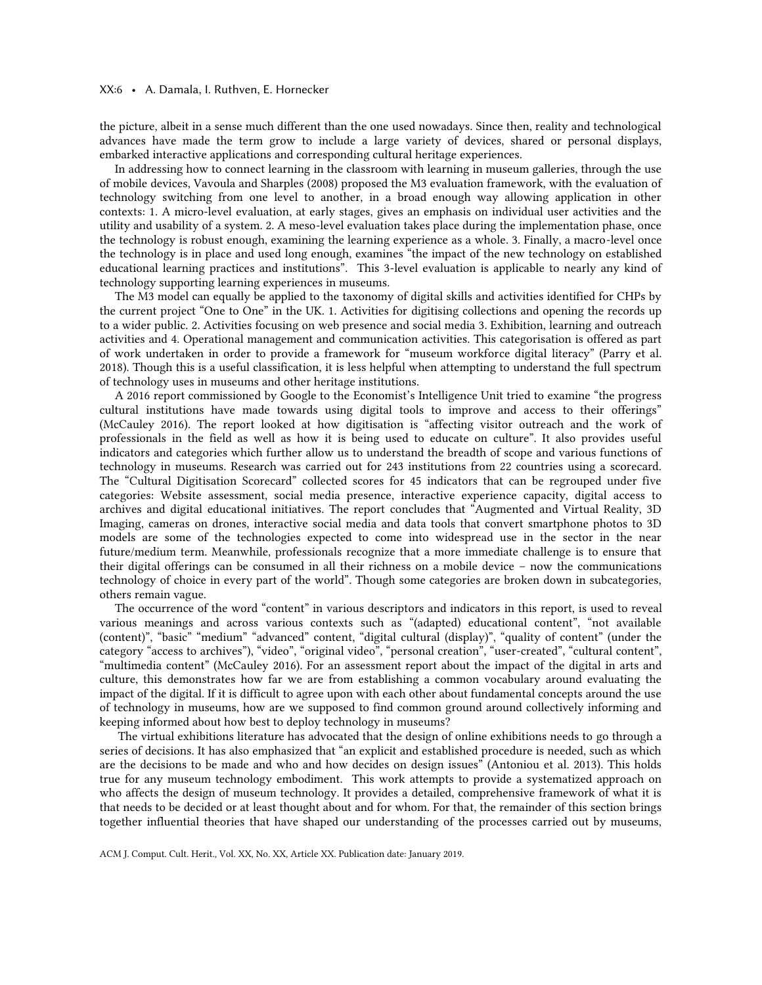### XX:6 • A. Damala, I. Ruthven, E. Hornecker

the picture, albeit in a sense much different than the one used nowadays. Since then, reality and technological advances have made the term grow to include a large variety of devices, shared or personal displays, embarked interactive applications and corresponding cultural heritage experiences.

In addressing how to connect learning in the classroom with learning in museum galleries, through the use of mobile devices, Vavoula and Sharples (2008) proposed the M3 evaluation framework, with the evaluation of technology switching from one level to another, in a broad enough way allowing application in other contexts: 1. A micro-level evaluation, at early stages, gives an emphasis on individual user activities and the utility and usability of a system. 2. A meso-level evaluation takes place during the implementation phase, once the technology is robust enough, examining the learning experience as a whole. 3. Finally, a macro-level once the technology is in place and used long enough, examines "the impact of the new technology on established educational learning practices and institutions". This 3-level evaluation is applicable to nearly any kind of technology supporting learning experiences in museums.

The M3 model can equally be applied to the taxonomy of digital skills and activities identified for CHPs by the current project "One to One" in the UK. 1. Activities for digitising collections and opening the records up to a wider public. 2. Activities focusing on web presence and social media 3. Exhibition, learning and outreach activities and 4. Operational management and communication activities. This categorisation is offered as part of work undertaken in order to provide a framework for "museum workforce digital literacy" (Parry et al. 2018). Though this is a useful classification, it is less helpful when attempting to understand the full spectrum of technology uses in museums and other heritage institutions.

A 2016 report commissioned by Google to the Economist's Intelligence Unit tried to examine "the progress cultural institutions have made towards using digital tools to improve and access to their offerings" (McCauley 2016). The report looked at how digitisation is "affecting visitor outreach and the work of professionals in the field as well as how it is being used to educate on culture". It also provides useful indicators and categories which further allow us to understand the breadth of scope and various functions of technology in museums. Research was carried out for 243 institutions from 22 countries using a scorecard. The "Cultural Digitisation Scorecard" collected scores for 45 indicators that can be regrouped under five categories: Website assessment, social media presence, interactive experience capacity, digital access to archives and digital educational initiatives. The report concludes that "Augmented and Virtual Reality, 3D Imaging, cameras on drones, interactive social media and data tools that convert smartphone photos to 3D models are some of the technologies expected to come into widespread use in the sector in the near future/medium term. Meanwhile, professionals recognize that a more immediate challenge is to ensure that their digital offerings can be consumed in all their richness on a mobile device – now the communications technology of choice in every part of the world". Though some categories are broken down in subcategories, others remain vague.

The occurrence of the word "content" in various descriptors and indicators in this report, is used to reveal various meanings and across various contexts such as "(adapted) educational content", "not available (content)", "basic" "medium" "advanced" content, "digital cultural (display)", "quality of content" (under the category "access to archives"), "video", "original video", "personal creation", "user-created", "cultural content", "multimedia content" (McCauley 2016). For an assessment report about the impact of the digital in arts and culture, this demonstrates how far we are from establishing a common vocabulary around evaluating the impact of the digital. If it is difficult to agree upon with each other about fundamental concepts around the use of technology in museums, how are we supposed to find common ground around collectively informing and keeping informed about how best to deploy technology in museums?

The virtual exhibitions literature has advocated that the design of online exhibitions needs to go through a series of decisions. It has also emphasized that "an explicit and established procedure is needed, such as which are the decisions to be made and who and how decides on design issues" (Antoniou et al. 2013). This holds true for any museum technology embodiment. This work attempts to provide a systematized approach on who affects the design of museum technology. It provides a detailed, comprehensive framework of what it is that needs to be decided or at least thought about and for whom. For that, the remainder of this section brings together influential theories that have shaped our understanding of the processes carried out by museums,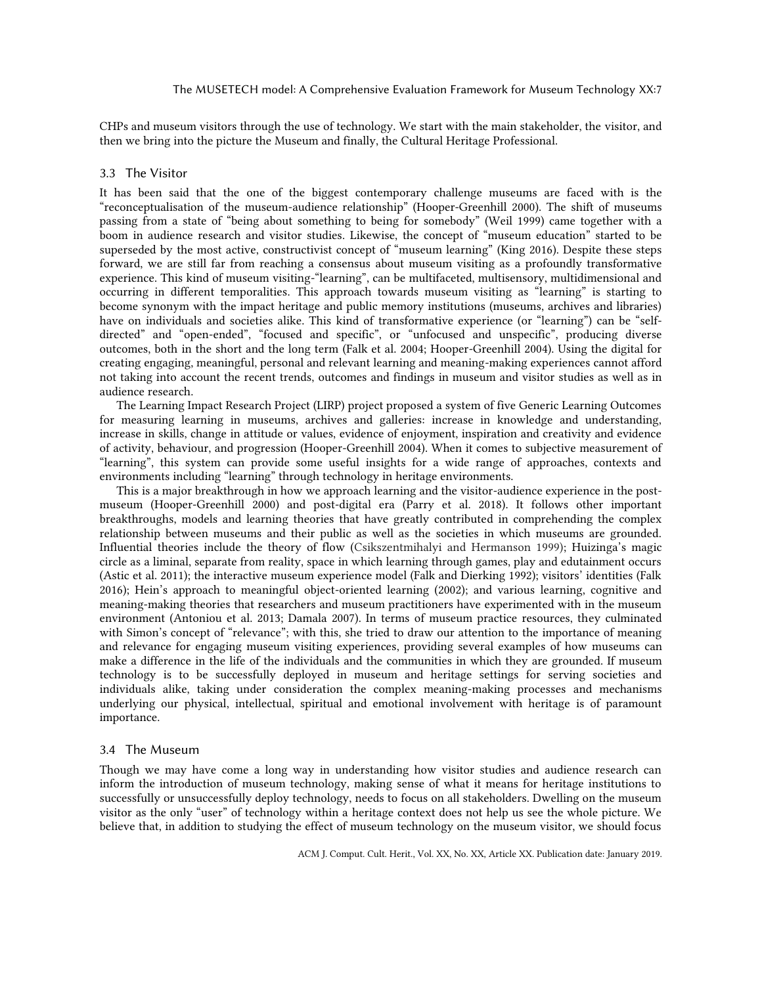CHPs and museum visitors through the use of technology. We start with the main stakeholder, the visitor, and then we bring into the picture the Museum and finally, the Cultural Heritage Professional.

### 3.3 The Visitor

It has been said that the one of the biggest contemporary challenge museums are faced with is the "reconceptualisation of the museum-audience relationship" (Hooper-Greenhill 2000). The shift of museums passing from a state of "being about something to being for somebody" (Weil 1999) came together with a boom in audience research and visitor studies. Likewise, the concept of "museum education" started to be superseded by the most active, constructivist concept of "museum learning" (King 2016). Despite these steps forward, we are still far from reaching a consensus about museum visiting as a profoundly transformative experience. This kind of museum visiting-"learning", can be multifaceted, multisensory, multidimensional and occurring in different temporalities. This approach towards museum visiting as "learning" is starting to become synonym with the impact heritage and public memory institutions (museums, archives and libraries) have on individuals and societies alike. This kind of transformative experience (or "learning") can be "selfdirected" and "open-ended", "focused and specific", or "unfocused and unspecific", producing diverse outcomes, both in the short and the long term (Falk et al. 2004; Hooper-Greenhill 2004). Using the digital for creating engaging, meaningful, personal and relevant learning and meaning-making experiences cannot afford not taking into account the recent trends, outcomes and findings in museum and visitor studies as well as in audience research.

The Learning Impact Research Project (LIRP) project proposed a system of five Generic Learning Outcomes for measuring learning in museums, archives and galleries: increase in knowledge and understanding, increase in skills, change in attitude or values, evidence of enjoyment, inspiration and creativity and evidence of activity, behaviour, and progression (Hooper-Greenhill 2004). When it comes to subjective measurement of "learning", this system can provide some useful insights for a wide range of approaches, contexts and environments including "learning" through technology in heritage environments.

This is a major breakthrough in how we approach learning and the visitor-audience experience in the postmuseum (Hooper-Greenhill 2000) and post-digital era (Parry et al. 2018). It follows other important breakthroughs, models and learning theories that have greatly contributed in comprehending the complex relationship between museums and their public as well as the societies in which museums are grounded. Influential theories include the theory of flow (Csikszentmihalyi and Hermanson 1999); Huizinga's magic circle as a liminal, separate from reality, space in which learning through games, play and edutainment occurs (Astic et al. 2011); the interactive museum experience model (Falk and Dierking 1992); visitors' identities (Falk 2016); Hein's approach to meaningful object-oriented learning (2002); and various learning, cognitive and meaning-making theories that researchers and museum practitioners have experimented with in the museum environment (Antoniou et al. 2013; Damala 2007). In terms of museum practice resources, they culminated with Simon's concept of "relevance"; with this, she tried to draw our attention to the importance of meaning and relevance for engaging museum visiting experiences, providing several examples of how museums can make a difference in the life of the individuals and the communities in which they are grounded. If museum technology is to be successfully deployed in museum and heritage settings for serving societies and individuals alike, taking under consideration the complex meaning-making processes and mechanisms underlying our physical, intellectual, spiritual and emotional involvement with heritage is of paramount importance.

### 3.4 The Museum

Though we may have come a long way in understanding how visitor studies and audience research can inform the introduction of museum technology, making sense of what it means for heritage institutions to successfully or unsuccessfully deploy technology, needs to focus on all stakeholders. Dwelling on the museum visitor as the only "user" of technology within a heritage context does not help us see the whole picture. We believe that, in addition to studying the effect of museum technology on the museum visitor, we should focus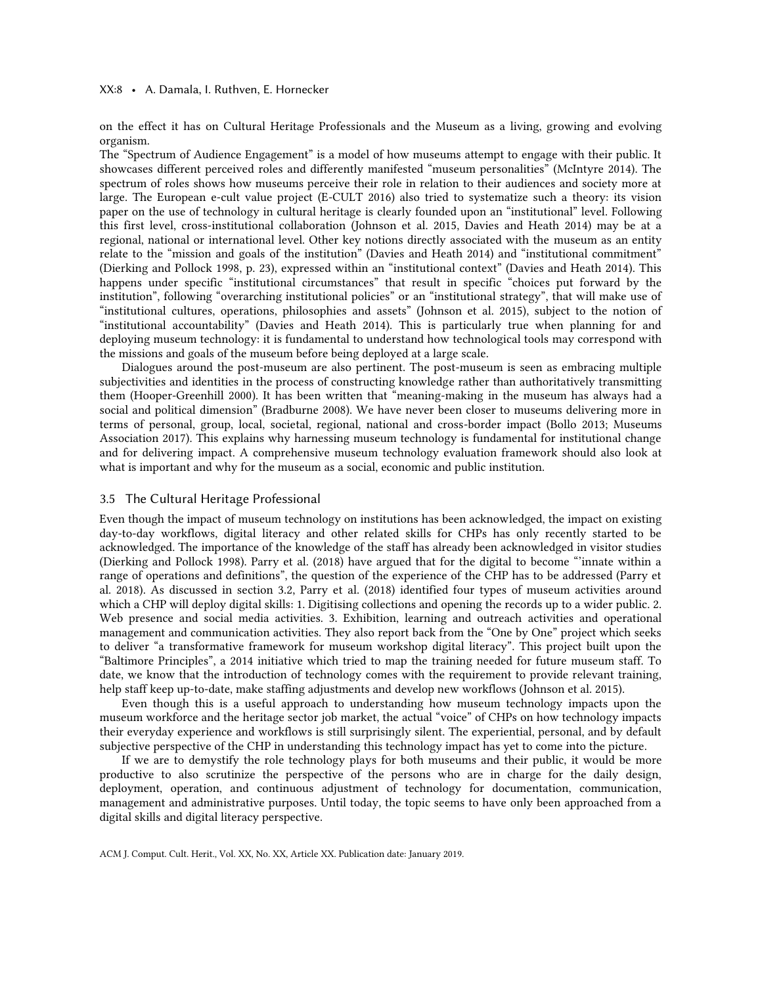### XX:8 • A. Damala, I. Ruthven, E. Hornecker

on the effect it has on Cultural Heritage Professionals and the Museum as a living, growing and evolving organism.

The "Spectrum of Audience Engagement" is a model of how museums attempt to engage with their public. It showcases different perceived roles and differently manifested "museum personalities" (McIntyre 2014). The spectrum of roles shows how museums perceive their role in relation to their audiences and society more at large. The European e-cult value project (E-CULT 2016) also tried to systematize such a theory: its vision paper on the use of technology in cultural heritage is clearly founded upon an "institutional" level. Following this first level, cross-institutional collaboration (Johnson et al. 2015, Davies and Heath 2014) may be at a regional, national or international level. Other key notions directly associated with the museum as an entity relate to the "mission and goals of the institution" (Davies and Heath 2014) and "institutional commitment" (Dierking and Pollock 1998, p. 23), expressed within an "institutional context" (Davies and Heath 2014). This happens under specific "institutional circumstances" that result in specific "choices put forward by the institution", following "overarching institutional policies" or an "institutional strategy", that will make use of "institutional cultures, operations, philosophies and assets" (Johnson et al. 2015), subject to the notion of "institutional accountability" (Davies and Heath 2014). This is particularly true when planning for and deploying museum technology: it is fundamental to understand how technological tools may correspond with the missions and goals of the museum before being deployed at a large scale.

Dialogues around the post-museum are also pertinent. The post-museum is seen as embracing multiple subjectivities and identities in the process of constructing knowledge rather than authoritatively transmitting them (Hooper-Greenhill 2000). It has been written that "meaning-making in the museum has always had a social and political dimension" (Bradburne 2008). We have never been closer to museums delivering more in terms of personal, group, local, societal, regional, national and cross-border impact (Bollo 2013; Museums Association 2017). This explains why harnessing museum technology is fundamental for institutional change and for delivering impact. A comprehensive museum technology evaluation framework should also look at what is important and why for the museum as a social, economic and public institution.

# 3.5 The Cultural Heritage Professional

Even though the impact of museum technology on institutions has been acknowledged, the impact on existing day-to-day workflows, digital literacy and other related skills for CHPs has only recently started to be acknowledged. The importance of the knowledge of the staff has already been acknowledged in visitor studies (Dierking and Pollock 1998). Parry et al. (2018) have argued that for the digital to become "'innate within a range of operations and definitions", the question of the experience of the CHP has to be addressed (Parry et al. 2018). As discussed in section 3.2, Parry et al. (2018) identified four types of museum activities around which a CHP will deploy digital skills: 1. Digitising collections and opening the records up to a wider public. 2. Web presence and social media activities. 3. Exhibition, learning and outreach activities and operational management and communication activities. They also report back from the "One by One" project which seeks to deliver "a transformative framework for museum workshop digital literacy". This project built upon the "Baltimore Principles", a 2014 initiative which tried to map the training needed for future museum staff. To date, we know that the introduction of technology comes with the requirement to provide relevant training, help staff keep up-to-date, make staffing adjustments and develop new workflows (Johnson et al. 2015).

Even though this is a useful approach to understanding how museum technology impacts upon the museum workforce and the heritage sector job market, the actual "voice" of CHPs on how technology impacts their everyday experience and workflows is still surprisingly silent. The experiential, personal, and by default subjective perspective of the CHP in understanding this technology impact has yet to come into the picture.

If we are to demystify the role technology plays for both museums and their public, it would be more productive to also scrutinize the perspective of the persons who are in charge for the daily design, deployment, operation, and continuous adjustment of technology for documentation, communication, management and administrative purposes. Until today, the topic seems to have only been approached from a digital skills and digital literacy perspective.

ACM J. Comput. Cult. Herit., Vol. XX, No. XX, Article XX. Publication date: January 2019.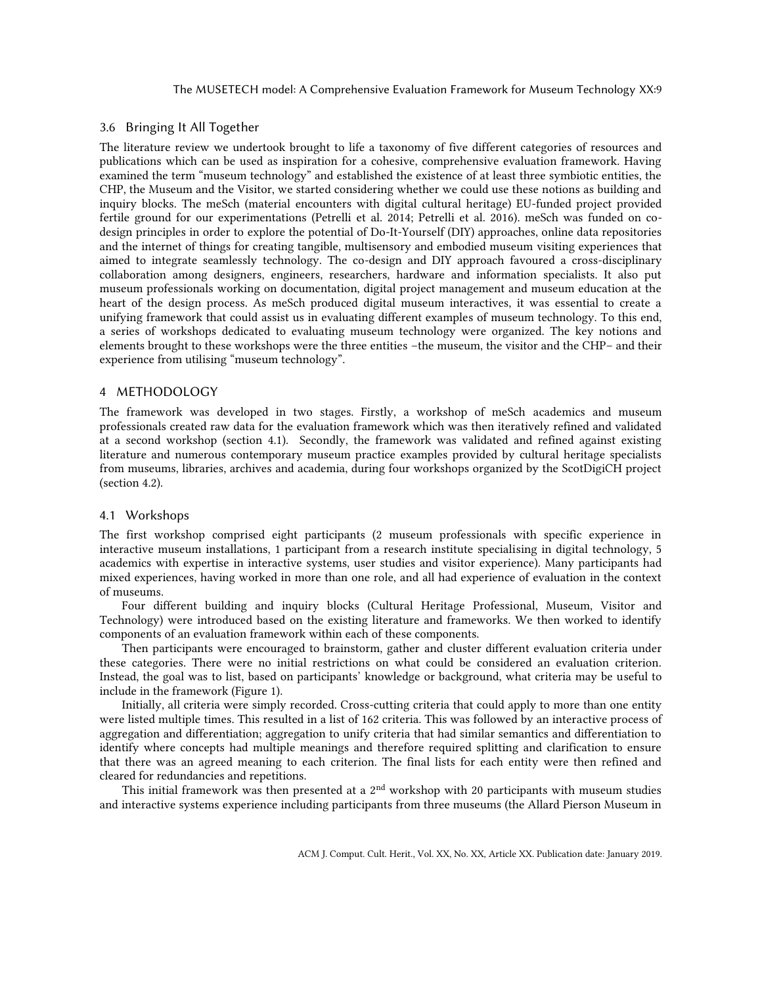# 3.6 Bringing It All Together

The literature review we undertook brought to life a taxonomy of five different categories of resources and publications which can be used as inspiration for a cohesive, comprehensive evaluation framework. Having examined the term "museum technology" and established the existence of at least three symbiotic entities, the CHP, the Museum and the Visitor, we started considering whether we could use these notions as building and inquiry blocks. The meSch (material encounters with digital cultural heritage) EU-funded project provided fertile ground for our experimentations (Petrelli et al. 2014; Petrelli et al. 2016). meSch was funded on codesign principles in order to explore the potential of Do-It-Yourself (DIY) approaches, online data repositories and the internet of things for creating tangible, multisensory and embodied museum visiting experiences that aimed to integrate seamlessly technology. The co-design and DIY approach favoured a cross-disciplinary collaboration among designers, engineers, researchers, hardware and information specialists. It also put museum professionals working on documentation, digital project management and museum education at the heart of the design process. As meSch produced digital museum interactives, it was essential to create a unifying framework that could assist us in evaluating different examples of museum technology. To this end, a series of workshops dedicated to evaluating museum technology were organized. The key notions and elements brought to these workshops were the three entities –the museum, the visitor and the CHP– and their experience from utilising "museum technology".

# 4 METHODOLOGY

The framework was developed in two stages. Firstly, a workshop of meSch academics and museum professionals created raw data for the evaluation framework which was then iteratively refined and validated at a second workshop (section 4.1). Secondly, the framework was validated and refined against existing literature and numerous contemporary museum practice examples provided by cultural heritage specialists from museums, libraries, archives and academia, during four workshops organized by the ScotDigiCH project (section 4.2).

# 4.1 Workshops

The first workshop comprised eight participants (2 museum professionals with specific experience in interactive museum installations, 1 participant from a research institute specialising in digital technology, 5 academics with expertise in interactive systems, user studies and visitor experience). Many participants had mixed experiences, having worked in more than one role, and all had experience of evaluation in the context of museums.

Four different building and inquiry blocks (Cultural Heritage Professional, Museum, Visitor and Technology) were introduced based on the existing literature and frameworks. We then worked to identify components of an evaluation framework within each of these components.

Then participants were encouraged to brainstorm, gather and cluster different evaluation criteria under these categories. There were no initial restrictions on what could be considered an evaluation criterion. Instead, the goal was to list, based on participants' knowledge or background, what criteria may be useful to include in the framework (Figure 1).

Initially, all criteria were simply recorded. Cross-cutting criteria that could apply to more than one entity were listed multiple times. This resulted in a list of 162 criteria. This was followed by an interactive process of aggregation and differentiation; aggregation to unify criteria that had similar semantics and differentiation to identify where concepts had multiple meanings and therefore required splitting and clarification to ensure that there was an agreed meaning to each criterion. The final lists for each entity were then refined and cleared for redundancies and repetitions.

This initial framework was then presented at a  $2<sup>nd</sup>$  workshop with 20 participants with museum studies and interactive systems experience including participants from three museums (the Allard Pierson Museum in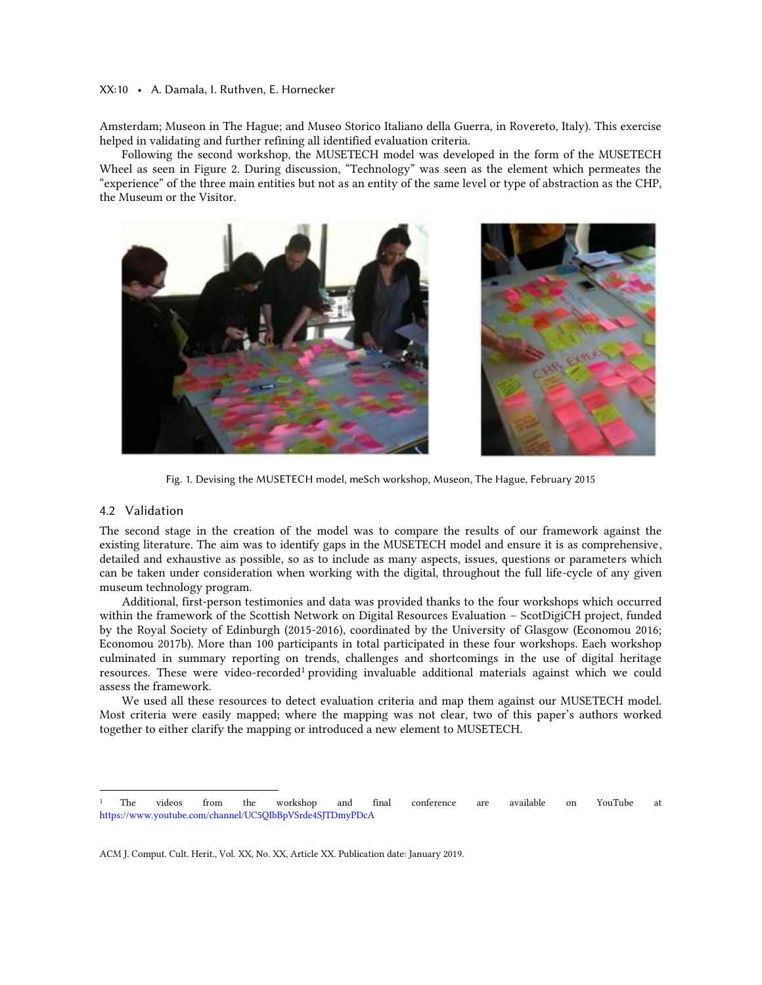### XX:10 • A. Damala, I. Ruthven, E. Hornecker

Amsterdam; Museon in The Hague; and Museo Storico Italiano della Guerra, in Rovereto, Italy). This exercise helped in validating and further refining all identified evaluation criteria.

Following the second workshop, the MUSETECH model was developed in the form of the MUSETECH Wheel as seen in Figure 2. During discussion, "Technology" was seen as the element which permeates the "experience" of the three main entities but not as an entity of the same level or type of abstraction as the CHP, the Museum or the Visitor.



Fig. 1. Devising the MUSETECH model, meSch workshop, Museon, The Hague, February 2015

# 4.2 Validation

 $\overline{a}$ 

The second stage in the creation of the model was to compare the results of our framework against the existing literature. The aim was to identify gaps in the MUSETECH model and ensure it is as comprehensive, detailed and exhaustive as possible, so as to include as many aspects, issues, questions or parameters which can be taken under consideration when working with the digital, throughout the full life-cycle of any given museum technology program.

Additional, first-person testimonies and data was provided thanks to the four workshops which occurred within the framework of the Scottish Network on Digital Resources Evaluation – ScotDigiCH project, funded by the Royal Society of Edinburgh (2015-2016), coordinated by the University of Glasgow (Economou 2016; Economou 2017b). More than 100 participants in total participated in these four workshops. Each workshop culminated in summary reporting on trends, challenges and shortcomings in the use of digital heritage resources. These were video-recorded<sup>1</sup> providing invaluable additional materials against which we could assess the framework.

We used all these resources to detect evaluation criteria and map them against our MUSETECH model. Most criteria were easily mapped; where the mapping was not clear, two of this paper's authors worked together to either clarify the mapping or introduced a new element to MUSETECH.

<sup>1</sup> The videos from the workshop and final conference are available on YouTube at <https://www.youtube.com/channel/UC5QIbBpVSrde4SJTDmyPDcA>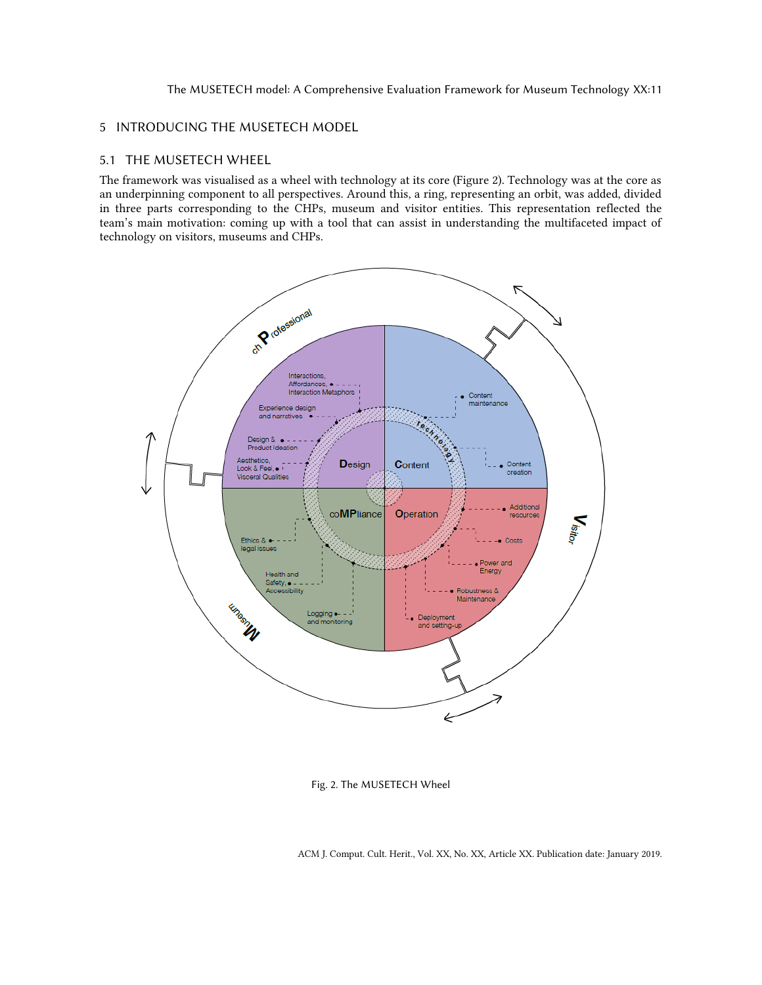# 5 INTRODUCING THE MUSETECH MODEL

# 5.1 THE MUSETECH WHEEL

The framework was visualised as a wheel with technology at its core (Figure 2). Technology was at the core as an underpinning component to all perspectives. Around this, a ring, representing an orbit, was added, divided in three parts corresponding to the CHPs, museum and visitor entities. This representation reflected the team's main motivation: coming up with a tool that can assist in understanding the multifaceted impact of technology on visitors, museums and CHPs.



Fig. 2. The MUSETECH Wheel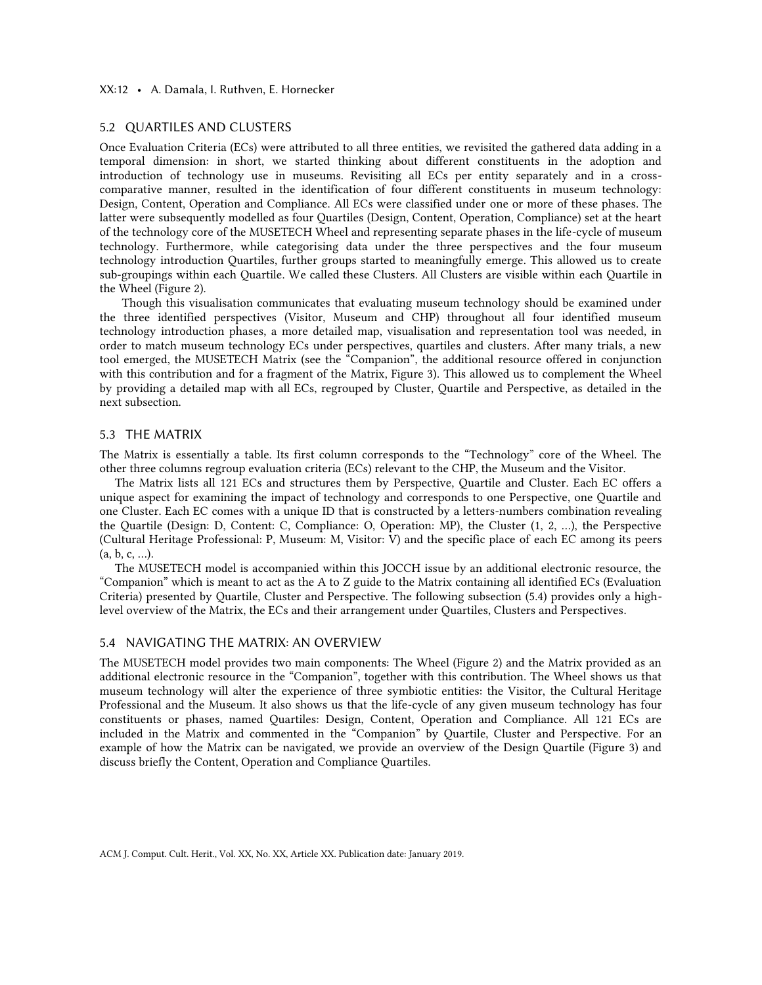### XX:12 • A. Damala, I. Ruthven, E. Hornecker

### 5.2 QUARTILES AND CLUSTERS

Once Evaluation Criteria (ECs) were attributed to all three entities, we revisited the gathered data adding in a temporal dimension: in short, we started thinking about different constituents in the adoption and introduction of technology use in museums. Revisiting all ECs per entity separately and in a crosscomparative manner, resulted in the identification of four different constituents in museum technology: Design, Content, Operation and Compliance. All ECs were classified under one or more of these phases. The latter were subsequently modelled as four Quartiles (Design, Content, Operation, Compliance) set at the heart of the technology core of the MUSETECH Wheel and representing separate phases in the life-cycle of museum technology. Furthermore, while categorising data under the three perspectives and the four museum technology introduction Quartiles, further groups started to meaningfully emerge. This allowed us to create sub-groupings within each Quartile. We called these Clusters. All Clusters are visible within each Quartile in the Wheel (Figure 2).

Though this visualisation communicates that evaluating museum technology should be examined under the three identified perspectives (Visitor, Museum and CHP) throughout all four identified museum technology introduction phases, a more detailed map, visualisation and representation tool was needed, in order to match museum technology ECs under perspectives, quartiles and clusters. After many trials, a new tool emerged, the MUSETECH Matrix (see the "Companion", the additional resource offered in conjunction with this contribution and for a fragment of the Matrix, Figure 3). This allowed us to complement the Wheel by providing a detailed map with all ECs, regrouped by Cluster, Quartile and Perspective, as detailed in the next subsection.

### 5.3 THE MATRIX

The Matrix is essentially a table. Its first column corresponds to the "Technology" core of the Wheel. The other three columns regroup evaluation criteria (ECs) relevant to the CHP, the Museum and the Visitor.

The Matrix lists all 121 ECs and structures them by Perspective, Quartile and Cluster. Each EC offers a unique aspect for examining the impact of technology and corresponds to one Perspective, one Quartile and one Cluster. Each EC comes with a unique ID that is constructed by a letters-numbers combination revealing the Quartile (Design: D, Content: C, Compliance: O, Operation: MP), the Cluster (1, 2, …), the Perspective (Cultural Heritage Professional: P, Museum: M, Visitor: V) and the specific place of each EC among its peers (a, b, c, …).

The MUSETECH model is accompanied within this JOCCH issue by an additional electronic resource, the "Companion" which is meant to act as the A to Z guide to the Matrix containing all identified ECs (Evaluation Criteria) presented by Quartile, Cluster and Perspective. The following subsection (5.4) provides only a highlevel overview of the Matrix, the ECs and their arrangement under Quartiles, Clusters and Perspectives.

# 5.4 NAVIGATING THE MATRIX: AN OVERVIEW

The MUSETECH model provides two main components: The Wheel (Figure 2) and the Matrix provided as an additional electronic resource in the "Companion", together with this contribution. The Wheel shows us that museum technology will alter the experience of three symbiotic entities: the Visitor, the Cultural Heritage Professional and the Museum. It also shows us that the life-cycle of any given museum technology has four constituents or phases, named Quartiles: Design, Content, Operation and Compliance. All 121 ECs are included in the Matrix and commented in the "Companion" by Quartile, Cluster and Perspective. For an example of how the Matrix can be navigated, we provide an overview of the Design Quartile (Figure 3) and discuss briefly the Content, Operation and Compliance Quartiles.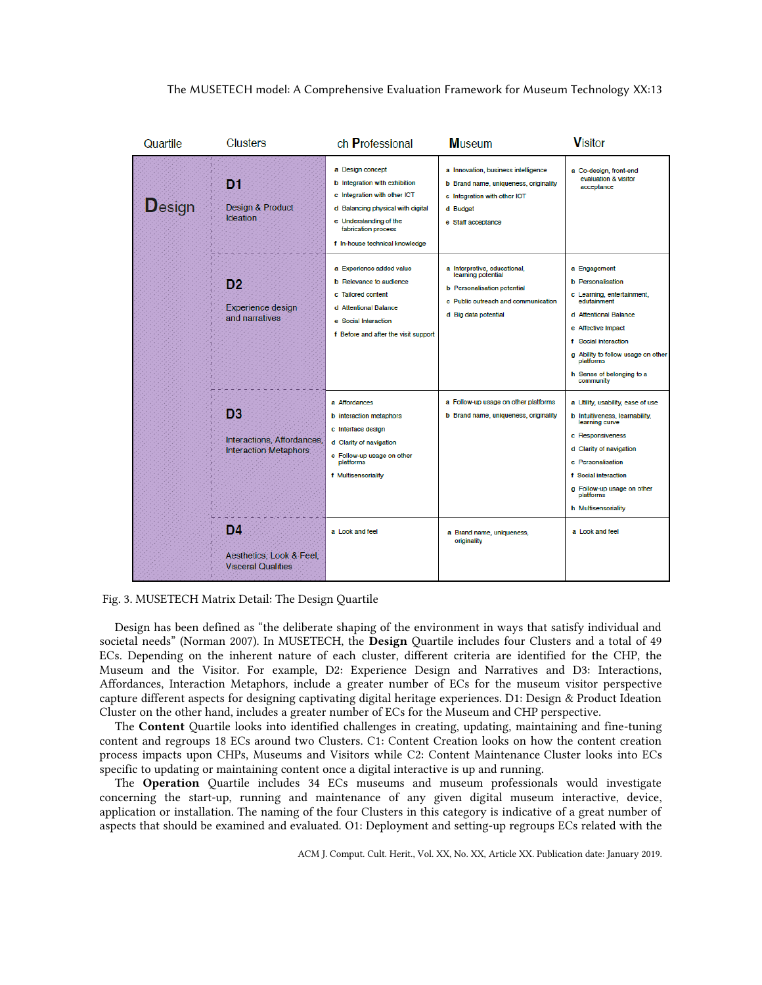



Design has been defined as "the deliberate shaping of the environment in ways that satisfy individual and societal needs" (Norman 2007). In MUSETECH, the Design Quartile includes four Clusters and a total of 49 ECs. Depending on the inherent nature of each cluster, different criteria are identified for the CHP, the Museum and the Visitor. For example, D2: Experience Design and Narratives and D3: Interactions, Affordances, Interaction Metaphors, include a greater number of ECs for the museum visitor perspective capture different aspects for designing captivating digital heritage experiences. D1: Design & Product Ideation Cluster on the other hand, includes a greater number of ECs for the Museum and CHP perspective.

The Content Quartile looks into identified challenges in creating, updating, maintaining and fine-tuning content and regroups 18 ECs around two Clusters. C1: Content Creation looks on how the content creation process impacts upon CHPs, Museums and Visitors while C2: Content Maintenance Cluster looks into ECs specific to updating or maintaining content once a digital interactive is up and running.

The Operation Quartile includes 34 ECs museums and museum professionals would investigate concerning the start-up, running and maintenance of any given digital museum interactive, device, application or installation. The naming of the four Clusters in this category is indicative of a great number of aspects that should be examined and evaluated. O1: Deployment and setting-up regroups ECs related with the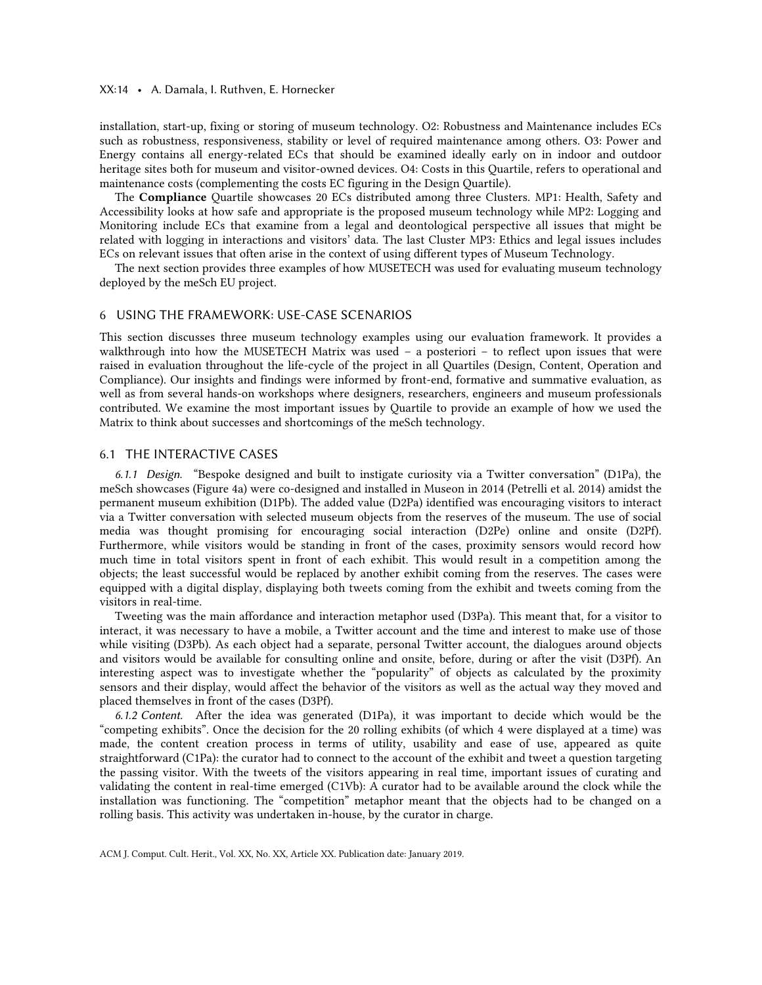### XX:14 • A. Damala, I. Ruthven, E. Hornecker

installation, start-up, fixing or storing of museum technology. O2: Robustness and Maintenance includes ECs such as robustness, responsiveness, stability or level of required maintenance among others. O3: Power and Energy contains all energy-related ECs that should be examined ideally early on in indoor and outdoor heritage sites both for museum and visitor-owned devices. O4: Costs in this Quartile, refers to operational and maintenance costs (complementing the costs EC figuring in the Design Quartile).

The Compliance Quartile showcases 20 ECs distributed among three Clusters. MP1: Health, Safety and Accessibility looks at how safe and appropriate is the proposed museum technology while MP2: Logging and Monitoring include ECs that examine from a legal and deontological perspective all issues that might be related with logging in interactions and visitors' data. The last Cluster MP3: Ethics and legal issues includes ECs on relevant issues that often arise in the context of using different types of Museum Technology.

The next section provides three examples of how MUSETECH was used for evaluating museum technology deployed by the meSch EU project.

# 6 USING THE FRAMEWORK: USE-CASE SCENARIOS

This section discusses three museum technology examples using our evaluation framework. It provides a walkthrough into how the MUSETECH Matrix was used – a posteriori – to reflect upon issues that were raised in evaluation throughout the life-cycle of the project in all Quartiles (Design, Content, Operation and Compliance). Our insights and findings were informed by front-end, formative and summative evaluation, as well as from several hands-on workshops where designers, researchers, engineers and museum professionals contributed. We examine the most important issues by Quartile to provide an example of how we used the Matrix to think about successes and shortcomings of the meSch technology.

### 6.1 THE INTERACTIVE CASES

*6.1.1 Design.* "Bespoke designed and built to instigate curiosity via a Twitter conversation" (D1Pa), the meSch showcases (Figure 4a) were co-designed and installed in Museon in 2014 (Petrelli et al. 2014) amidst the permanent museum exhibition (D1Pb). The added value (D2Pa) identified was encouraging visitors to interact via a Twitter conversation with selected museum objects from the reserves of the museum. The use of social media was thought promising for encouraging social interaction (D2Pe) online and onsite (D2Pf). Furthermore, while visitors would be standing in front of the cases, proximity sensors would record how much time in total visitors spent in front of each exhibit. This would result in a competition among the objects; the least successful would be replaced by another exhibit coming from the reserves. The cases were equipped with a digital display, displaying both tweets coming from the exhibit and tweets coming from the visitors in real-time.

Tweeting was the main affordance and interaction metaphor used (D3Pa). This meant that, for a visitor to interact, it was necessary to have a mobile, a Twitter account and the time and interest to make use of those while visiting (D3Pb). As each object had a separate, personal Twitter account, the dialogues around objects and visitors would be available for consulting online and onsite, before, during or after the visit (D3Pf). An interesting aspect was to investigate whether the "popularity" of objects as calculated by the proximity sensors and their display, would affect the behavior of the visitors as well as the actual way they moved and placed themselves in front of the cases (D3Pf).

*6.1.2 Content.* After the idea was generated (D1Pa), it was important to decide which would be the "competing exhibits". Once the decision for the 20 rolling exhibits (of which 4 were displayed at a time) was made, the content creation process in terms of utility, usability and ease of use, appeared as quite straightforward (C1Pa): the curator had to connect to the account of the exhibit and tweet a question targeting the passing visitor. With the tweets of the visitors appearing in real time, important issues of curating and validating the content in real-time emerged (C1Vb): A curator had to be available around the clock while the installation was functioning. The "competition" metaphor meant that the objects had to be changed on a rolling basis. This activity was undertaken in-house, by the curator in charge.

ACM J. Comput. Cult. Herit., Vol. XX, No. XX, Article XX. Publication date: January 2019.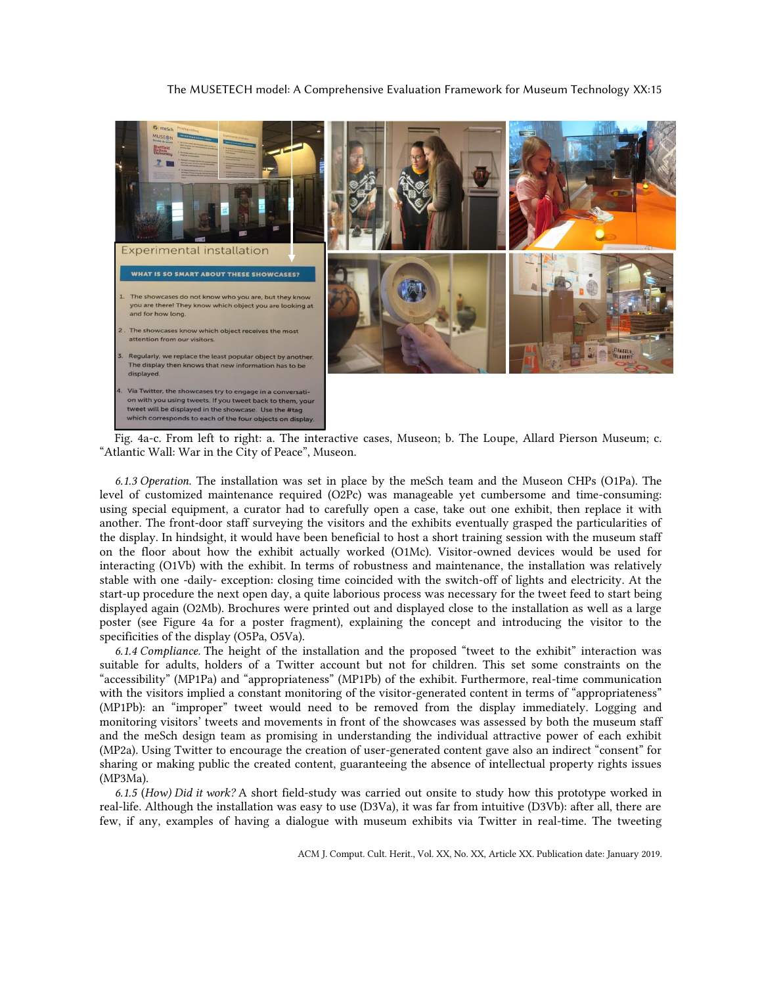

Fig. 4a-c. From left to right: a. The interactive cases, Museon; b. The Loupe, Allard Pierson Museum; c. "Atlantic Wall: War in the City of Peace", Museon.

*6.1.3 Operation.* The installation was set in place by the meSch team and the Museon CHPs (O1Pa). The level of customized maintenance required (O2Pc) was manageable yet cumbersome and time-consuming: using special equipment, a curator had to carefully open a case, take out one exhibit, then replace it with another. The front-door staff surveying the visitors and the exhibits eventually grasped the particularities of the display. In hindsight, it would have been beneficial to host a short training session with the museum staff on the floor about how the exhibit actually worked (O1Mc). Visitor-owned devices would be used for interacting (O1Vb) with the exhibit. In terms of robustness and maintenance, the installation was relatively stable with one -daily- exception: closing time coincided with the switch-off of lights and electricity. At the start-up procedure the next open day, a quite laborious process was necessary for the tweet feed to start being displayed again (O2Mb). Brochures were printed out and displayed close to the installation as well as a large poster (see Figure 4a for a poster fragment), explaining the concept and introducing the visitor to the specificities of the display (O5Pa, O5Va).

*6.1.4 Compliance.* The height of the installation and the proposed "tweet to the exhibit" interaction was suitable for adults, holders of a Twitter account but not for children. This set some constraints on the "accessibility" (MP1Pa) and "appropriateness" (MP1Pb) of the exhibit. Furthermore, real-time communication with the visitors implied a constant monitoring of the visitor-generated content in terms of "appropriateness" (MP1Pb): an "improper" tweet would need to be removed from the display immediately. Logging and monitoring visitors' tweets and movements in front of the showcases was assessed by both the museum staff and the meSch design team as promising in understanding the individual attractive power of each exhibit (MP2a). Using Twitter to encourage the creation of user-generated content gave also an indirect "consent" for sharing or making public the created content, guaranteeing the absence of intellectual property rights issues (MP3Ma).

*6.1.5* (*How) Did it work?* A short field-study was carried out onsite to study how this prototype worked in real-life. Although the installation was easy to use (D3Va), it was far from intuitive (D3Vb): after all, there are few, if any, examples of having a dialogue with museum exhibits via Twitter in real-time. The tweeting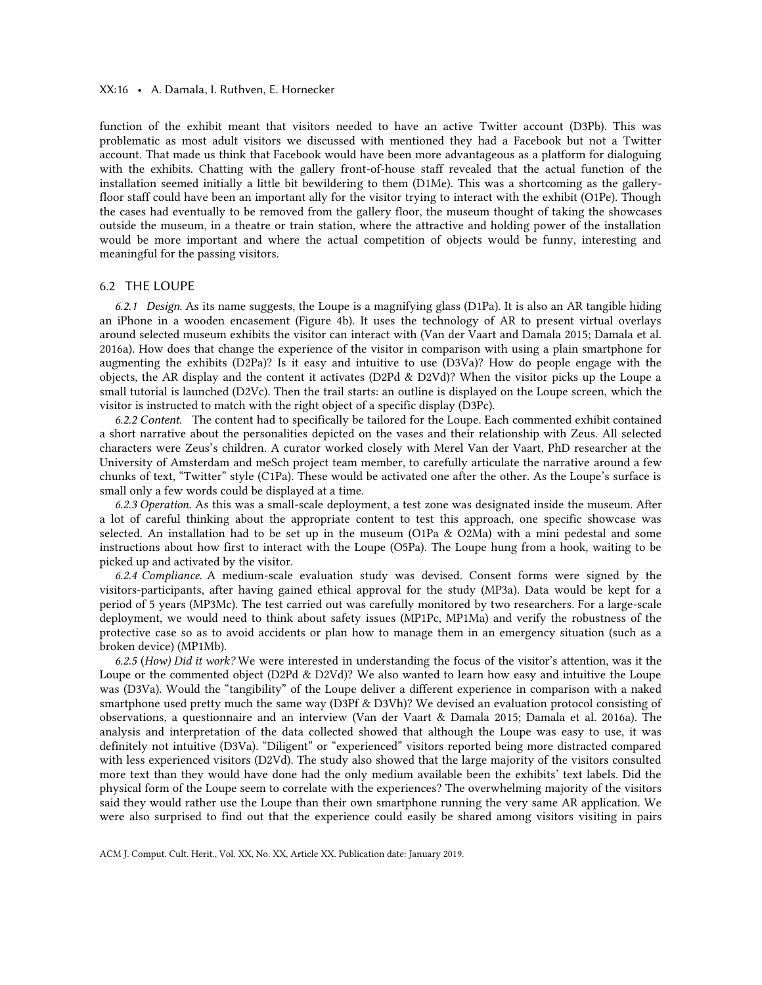### XX:16 • A. Damala, I. Ruthven, E. Hornecker

function of the exhibit meant that visitors needed to have an active Twitter account (D3Pb). This was problematic as most adult visitors we discussed with mentioned they had a Facebook but not a Twitter account. That made us think that Facebook would have been more advantageous as a platform for dialoguing with the exhibits. Chatting with the gallery front-of-house staff revealed that the actual function of the installation seemed initially a little bit bewildering to them (D1Me). This was a shortcoming as the galleryfloor staff could have been an important ally for the visitor trying to interact with the exhibit (O1Pe). Though the cases had eventually to be removed from the gallery floor, the museum thought of taking the showcases outside the museum, in a theatre or train station, where the attractive and holding power of the installation would be more important and where the actual competition of objects would be funny, interesting and meaningful for the passing visitors.

# 6.2 THE LOUPE

*6.2.1 Design.* As its name suggests, the Loupe is a magnifying glass (D1Pa). It is also an AR tangible hiding an iPhone in a wooden encasement (Figure 4b). It uses the technology of AR to present virtual overlays around selected museum exhibits the visitor can interact with (Van der Vaart and Damala 2015; Damala et al. 2016a). How does that change the experience of the visitor in comparison with using a plain smartphone for augmenting the exhibits (D2Pa)? Is it easy and intuitive to use (D3Va)? How do people engage with the objects, the AR display and the content it activates (D2Pd & D2Vd)? When the visitor picks up the Loupe a small tutorial is launched (D2Vc). Then the trail starts: an outline is displayed on the Loupe screen, which the visitor is instructed to match with the right object of a specific display (D3Pc).

*6.2.2 Content.* The content had to specifically be tailored for the Loupe. Each commented exhibit contained a short narrative about the personalities depicted on the vases and their relationship with Zeus. All selected characters were Zeus's children. A curator worked closely with Merel Van der Vaart, PhD researcher at the University of Amsterdam and meSch project team member, to carefully articulate the narrative around a few chunks of text, "Twitter" style (C1Pa). These would be activated one after the other. As the Loupe's surface is small only a few words could be displayed at a time.

*6.2.3 Operation.* As this was a small-scale deployment, a test zone was designated inside the museum. After a lot of careful thinking about the appropriate content to test this approach, one specific showcase was selected. An installation had to be set up in the museum (O1Pa & O2Ma) with a mini pedestal and some instructions about how first to interact with the Loupe (O5Pa). The Loupe hung from a hook, waiting to be picked up and activated by the visitor.

*6.2.4 Compliance.* A medium-scale evaluation study was devised. Consent forms were signed by the visitors-participants, after having gained ethical approval for the study (MP3a). Data would be kept for a period of 5 years (MP3Mc). The test carried out was carefully monitored by two researchers. For a large-scale deployment, we would need to think about safety issues (MP1Pc, MP1Ma) and verify the robustness of the protective case so as to avoid accidents or plan how to manage them in an emergency situation (such as a broken device) (MP1Mb).

*6.2.5* (*How) Did it work?* We were interested in understanding the focus of the visitor's attention, was it the Loupe or the commented object (D2Pd & D2Vd)? We also wanted to learn how easy and intuitive the Loupe was (D3Va). Would the "tangibility" of the Loupe deliver a different experience in comparison with a naked smartphone used pretty much the same way (D3Pf & D3Vh)? We devised an evaluation protocol consisting of observations, a questionnaire and an interview (Van der Vaart & Damala 2015; Damala et al. 2016a). The analysis and interpretation of the data collected showed that although the Loupe was easy to use, it was definitely not intuitive (D3Va). "Diligent" or "experienced" visitors reported being more distracted compared with less experienced visitors (D2Vd). The study also showed that the large majority of the visitors consulted more text than they would have done had the only medium available been the exhibits' text labels. Did the physical form of the Loupe seem to correlate with the experiences? The overwhelming majority of the visitors said they would rather use the Loupe than their own smartphone running the very same AR application. We were also surprised to find out that the experience could easily be shared among visitors visiting in pairs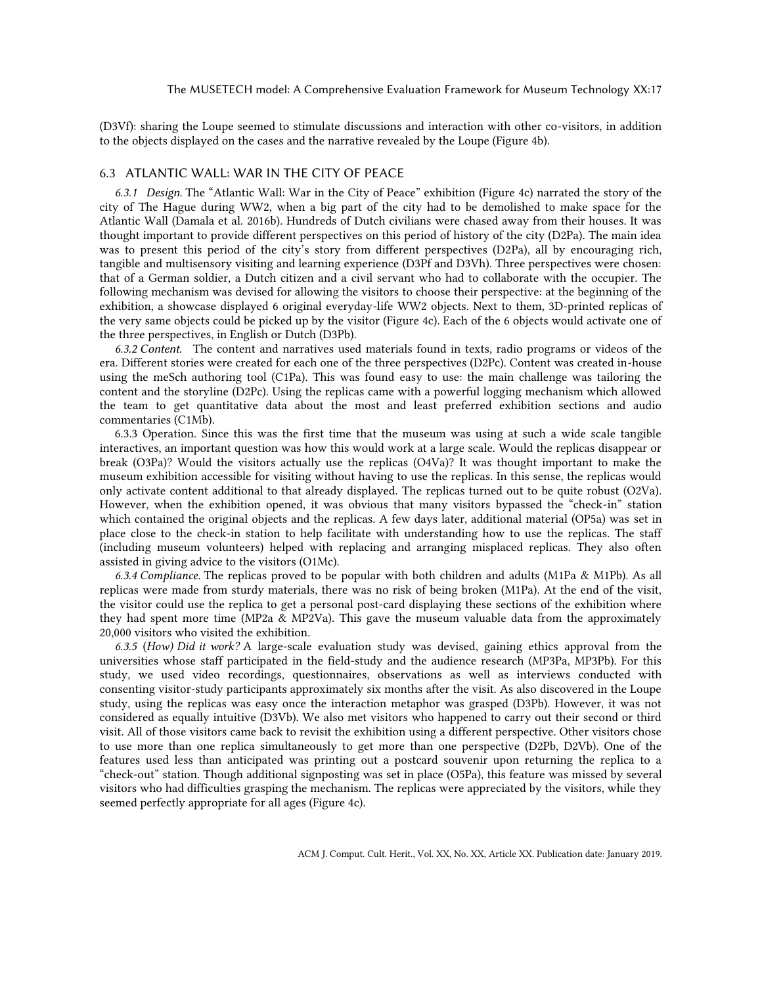(D3Vf): sharing the Loupe seemed to stimulate discussions and interaction with other co-visitors, in addition to the objects displayed on the cases and the narrative revealed by the Loupe (Figure 4b).

#### 6.3 ATLANTIC WALL: WAR IN THE CITY OF PEACE

*6.3.1 Design.* The "Atlantic Wall: War in the City of Peace" exhibition (Figure 4c) narrated the story of the city of The Hague during WW2, when a big part of the city had to be demolished to make space for the Atlantic Wall (Damala et al. 2016b). Hundreds of Dutch civilians were chased away from their houses. It was thought important to provide different perspectives on this period of history of the city (D2Pa). The main idea was to present this period of the city's story from different perspectives (D2Pa), all by encouraging rich, tangible and multisensory visiting and learning experience (D3Pf and D3Vh). Three perspectives were chosen: that of a German soldier, a Dutch citizen and a civil servant who had to collaborate with the occupier. The following mechanism was devised for allowing the visitors to choose their perspective: at the beginning of the exhibition, a showcase displayed 6 original everyday-life WW2 objects. Next to them, 3D-printed replicas of the very same objects could be picked up by the visitor (Figure 4c). Each of the 6 objects would activate one of the three perspectives, in English or Dutch (D3Pb).

*6.3.2 Content.* The content and narratives used materials found in texts, radio programs or videos of the era. Different stories were created for each one of the three perspectives (D2Pc). Content was created in-house using the meSch authoring tool (C1Pa). This was found easy to use: the main challenge was tailoring the content and the storyline (D2Pc). Using the replicas came with a powerful logging mechanism which allowed the team to get quantitative data about the most and least preferred exhibition sections and audio commentaries (C1Mb).

6.3.3 Operation. Since this was the first time that the museum was using at such a wide scale tangible interactives, an important question was how this would work at a large scale. Would the replicas disappear or break (O3Pa)? Would the visitors actually use the replicas (O4Va)? It was thought important to make the museum exhibition accessible for visiting without having to use the replicas. In this sense, the replicas would only activate content additional to that already displayed. The replicas turned out to be quite robust (O2Va). However, when the exhibition opened, it was obvious that many visitors bypassed the "check-in" station which contained the original objects and the replicas. A few days later, additional material (OP5a) was set in place close to the check-in station to help facilitate with understanding how to use the replicas. The staff (including museum volunteers) helped with replacing and arranging misplaced replicas. They also often assisted in giving advice to the visitors (O1Mc).

*6.3.4 Compliance.* The replicas proved to be popular with both children and adults (M1Pa & M1Pb). As all replicas were made from sturdy materials, there was no risk of being broken (M1Pa). At the end of the visit, the visitor could use the replica to get a personal post-card displaying these sections of the exhibition where they had spent more time (MP2a & MP2Va). This gave the museum valuable data from the approximately 20,000 visitors who visited the exhibition.

*6.3.5* (*How) Did it work?* A large-scale evaluation study was devised, gaining ethics approval from the universities whose staff participated in the field-study and the audience research (MP3Pa, MP3Pb). For this study, we used video recordings, questionnaires, observations as well as interviews conducted with consenting visitor-study participants approximately six months after the visit. As also discovered in the Loupe study, using the replicas was easy once the interaction metaphor was grasped (D3Pb). However, it was not considered as equally intuitive (D3Vb). We also met visitors who happened to carry out their second or third visit. All of those visitors came back to revisit the exhibition using a different perspective. Other visitors chose to use more than one replica simultaneously to get more than one perspective (D2Pb, D2Vb). One of the features used less than anticipated was printing out a postcard souvenir upon returning the replica to a "check-out" station. Though additional signposting was set in place (O5Pa), this feature was missed by several visitors who had difficulties grasping the mechanism. The replicas were appreciated by the visitors, while they seemed perfectly appropriate for all ages (Figure 4c).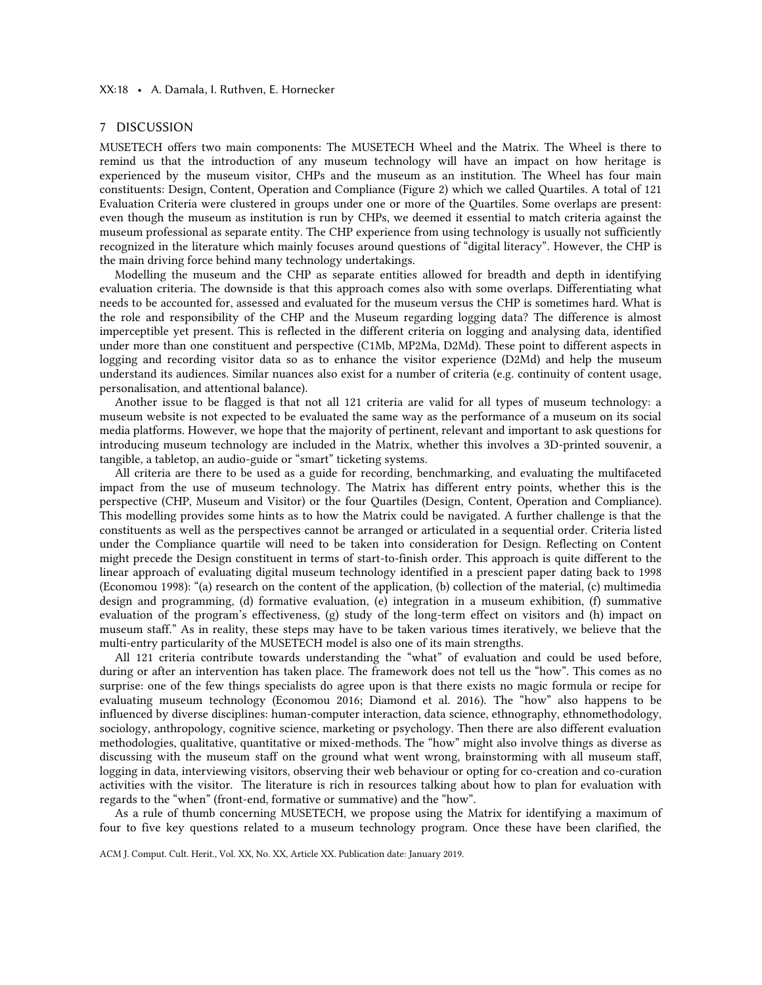### XX:18 • A. Damala, I. Ruthven, E. Hornecker

### 7 DISCUSSION

MUSETECH offers two main components: The MUSETECH Wheel and the Matrix. The Wheel is there to remind us that the introduction of any museum technology will have an impact on how heritage is experienced by the museum visitor, CHPs and the museum as an institution. The Wheel has four main constituents: Design, Content, Operation and Compliance (Figure 2) which we called Quartiles. A total of 121 Evaluation Criteria were clustered in groups under one or more of the Quartiles. Some overlaps are present: even though the museum as institution is run by CHPs, we deemed it essential to match criteria against the museum professional as separate entity. The CHP experience from using technology is usually not sufficiently recognized in the literature which mainly focuses around questions of "digital literacy". However, the CHP is the main driving force behind many technology undertakings.

Modelling the museum and the CHP as separate entities allowed for breadth and depth in identifying evaluation criteria. The downside is that this approach comes also with some overlaps. Differentiating what needs to be accounted for, assessed and evaluated for the museum versus the CHP is sometimes hard. What is the role and responsibility of the CHP and the Museum regarding logging data? The difference is almost imperceptible yet present. This is reflected in the different criteria on logging and analysing data, identified under more than one constituent and perspective (C1Mb, MP2Ma, D2Md). These point to different aspects in logging and recording visitor data so as to enhance the visitor experience (D2Md) and help the museum understand its audiences. Similar nuances also exist for a number of criteria (e.g. continuity of content usage, personalisation, and attentional balance).

Another issue to be flagged is that not all 121 criteria are valid for all types of museum technology: a museum website is not expected to be evaluated the same way as the performance of a museum on its social media platforms. However, we hope that the majority of pertinent, relevant and important to ask questions for introducing museum technology are included in the Matrix, whether this involves a 3D-printed souvenir, a tangible, a tabletop, an audio-guide or "smart" ticketing systems.

All criteria are there to be used as a guide for recording, benchmarking, and evaluating the multifaceted impact from the use of museum technology. The Matrix has different entry points, whether this is the perspective (CHP, Museum and Visitor) or the four Quartiles (Design, Content, Operation and Compliance). This modelling provides some hints as to how the Matrix could be navigated. A further challenge is that the constituents as well as the perspectives cannot be arranged or articulated in a sequential order. Criteria listed under the Compliance quartile will need to be taken into consideration for Design. Reflecting on Content might precede the Design constituent in terms of start-to-finish order. This approach is quite different to the linear approach of evaluating digital museum technology identified in a prescient paper dating back to 1998 (Economou 1998): "(a) research on the content of the application, (b) collection of the material, (c) multimedia design and programming, (d) formative evaluation, (e) integration in a museum exhibition, (f) summative evaluation of the program's effectiveness, (g) study of the long-term effect on visitors and (h) impact on museum staff." As in reality, these steps may have to be taken various times iteratively, we believe that the multi-entry particularity of the MUSETECH model is also one of its main strengths.

All 121 criteria contribute towards understanding the "what" of evaluation and could be used before, during or after an intervention has taken place. The framework does not tell us the "how". This comes as no surprise: one of the few things specialists do agree upon is that there exists no magic formula or recipe for evaluating museum technology (Economou 2016; Diamond et al. 2016). The "how" also happens to be influenced by diverse disciplines: human-computer interaction, data science, ethnography, ethnomethodology, sociology, anthropology, cognitive science, marketing or psychology. Then there are also different evaluation methodologies, qualitative, quantitative or mixed-methods. The "how" might also involve things as diverse as discussing with the museum staff on the ground what went wrong, brainstorming with all museum staff, logging in data, interviewing visitors, observing their web behaviour or opting for co-creation and co-curation activities with the visitor. The literature is rich in resources talking about how to plan for evaluation with regards to the "when" (front-end, formative or summative) and the "how".

As a rule of thumb concerning MUSETECH, we propose using the Matrix for identifying a maximum of four to five key questions related to a museum technology program. Once these have been clarified, the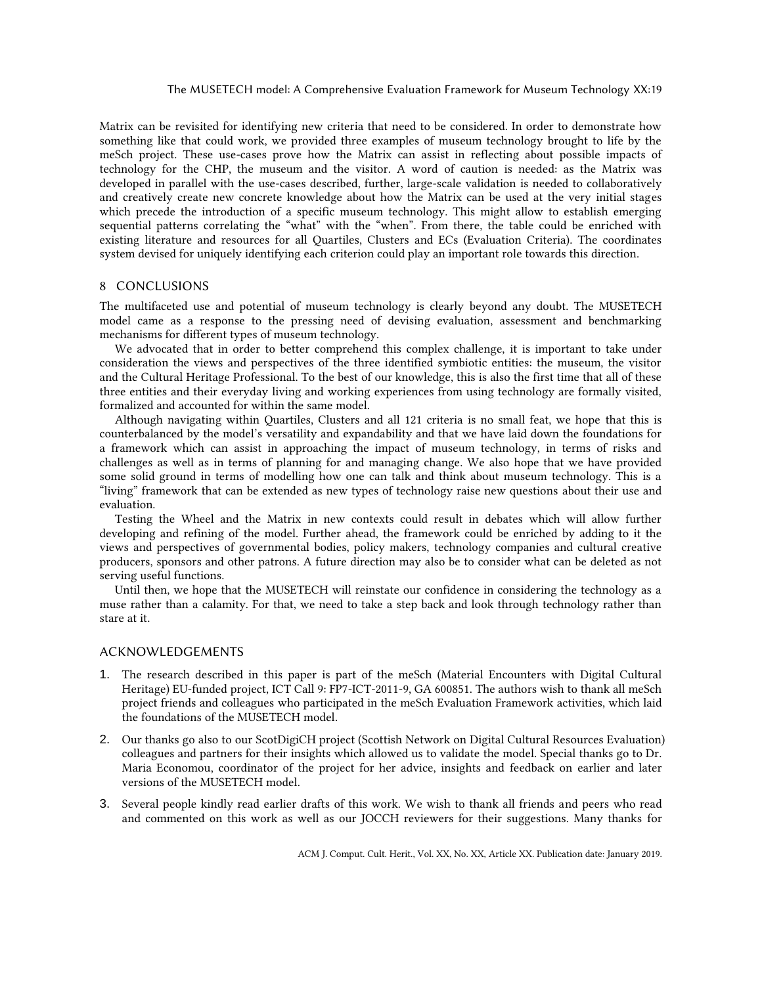Matrix can be revisited for identifying new criteria that need to be considered. In order to demonstrate how something like that could work, we provided three examples of museum technology brought to life by the meSch project. These use-cases prove how the Matrix can assist in reflecting about possible impacts of technology for the CHP, the museum and the visitor. A word of caution is needed: as the Matrix was developed in parallel with the use-cases described, further, large-scale validation is needed to collaboratively and creatively create new concrete knowledge about how the Matrix can be used at the very initial stages which precede the introduction of a specific museum technology. This might allow to establish emerging sequential patterns correlating the "what" with the "when". From there, the table could be enriched with existing literature and resources for all Quartiles, Clusters and ECs (Evaluation Criteria). The coordinates system devised for uniquely identifying each criterion could play an important role towards this direction.

# 8 CONCLUSIONS

The multifaceted use and potential of museum technology is clearly beyond any doubt. The MUSETECH model came as a response to the pressing need of devising evaluation, assessment and benchmarking mechanisms for different types of museum technology.

We advocated that in order to better comprehend this complex challenge, it is important to take under consideration the views and perspectives of the three identified symbiotic entities: the museum, the visitor and the Cultural Heritage Professional. To the best of our knowledge, this is also the first time that all of these three entities and their everyday living and working experiences from using technology are formally visited, formalized and accounted for within the same model.

Although navigating within Quartiles, Clusters and all 121 criteria is no small feat, we hope that this is counterbalanced by the model's versatility and expandability and that we have laid down the foundations for a framework which can assist in approaching the impact of museum technology, in terms of risks and challenges as well as in terms of planning for and managing change. We also hope that we have provided some solid ground in terms of modelling how one can talk and think about museum technology. This is a "living" framework that can be extended as new types of technology raise new questions about their use and evaluation.

Testing the Wheel and the Matrix in new contexts could result in debates which will allow further developing and refining of the model. Further ahead, the framework could be enriched by adding to it the views and perspectives of governmental bodies, policy makers, technology companies and cultural creative producers, sponsors and other patrons. A future direction may also be to consider what can be deleted as not serving useful functions.

Until then, we hope that the MUSETECH will reinstate our confidence in considering the technology as a muse rather than a calamity. For that, we need to take a step back and look through technology rather than stare at it.

# ACKNOWLEDGEMENTS

- 1. The research described in this paper is part of the meSch (Material Encounters with Digital Cultural Heritage) EU-funded project, ICT Call 9: FP7-ICT-2011-9, GA 600851. The authors wish to thank all meSch project friends and colleagues who participated in the meSch Evaluation Framework activities, which laid the foundations of the MUSETECH model.
- 2. Our thanks go also to our ScotDigiCH project (Scottish Network on Digital Cultural Resources Evaluation) colleagues and partners for their insights which allowed us to validate the model. Special thanks go to Dr. Maria Economou, coordinator of the project for her advice, insights and feedback on earlier and later versions of the MUSETECH model.
- 3. Several people kindly read earlier drafts of this work. We wish to thank all friends and peers who read and commented on this work as well as our JOCCH reviewers for their suggestions. Many thanks for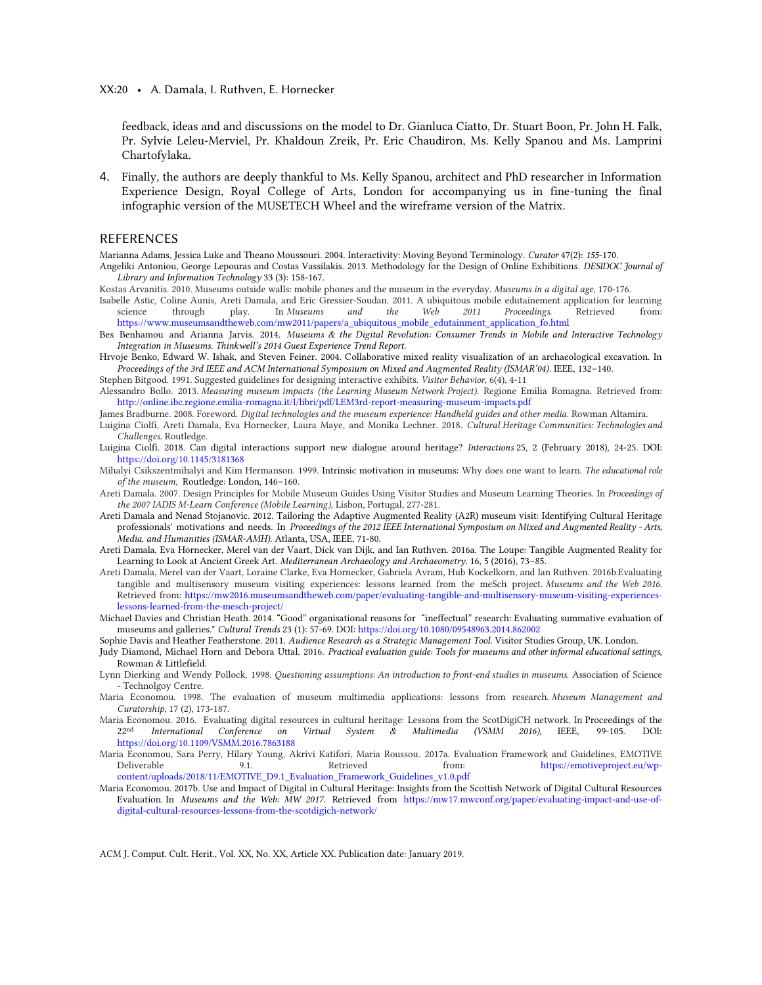XX:20 • A. Damala, I. Ruthven, E. Hornecker

feedback, ideas and and discussions on the model to Dr. Gianluca Ciatto, Dr. Stuart Boon, Pr. John H. Falk, Pr. Sylvie Leleu-Merviel, Pr. Khaldoun Zreik, Pr. Eric Chaudiron, Ms. Kelly Spanou and Ms. Lamprini Chartofylaka.

4. Finally, the authors are deeply thankful to Ms. Kelly Spanou, architect and PhD researcher in Information Experience Design, Royal College of Arts, London for accompanying us in fine-tuning the final infographic version of the MUSETECH Wheel and the wireframe version of the Matrix.

### REFERENCES

Marianna Adams, Jessica Luke and Theano Moussouri. 2004. Interactivity: Moving Beyond Terminology. *Curator* 47(2): *155*-170.

- Angeliki Antoniou, George Lepouras and Costas Vassilakis. 2013. Methodology for the Design of Online Exhibitions. *DESIDOC Journal of Library and Information Technology* 33 (3): 158-167.
- Kostas Arvanitis. 2010. Museums outside walls: mobile phones and the museum in the everyday. *Museums in a digital age*, 170-176.
- Isabelle Astic, Coline Aunis, Areti Damala, and Eric Gressier-Soudan. 2011. A ubiquitous mobile edutainement application for learning science through play. In *Museums and the Web 2011 Proceedings.* Retrieved from: [https://www.museumsandtheweb.com/mw2011/papers/a\\_ubiquitous\\_mobile\\_edutainment\\_application\\_fo.html](https://www.museumsandtheweb.com/mw2011/papers/a_ubiquitous_mobile_edutainment_application_fo.html)
- Bes Benhamou and Arianna Jarvis. 2014. *Museums & the Digital Revolution: Consumer Trends in Mobile and Interactive Technology Integration in Museums. Thinkwell's 2014 Guest Experience Trend Report.*
- Hrvoje Benko, Edward W. Ishak, and Steven Feiner. 2004. Collaborative mixed reality visualization of an archaeological excavation. In *Proceedings of the 3rd IEEE and ACM International Symposium on Mixed and Augmented Reality (ISMAR'04)*. IEEE, 132–140.

Stephen Bitgood. 1991. Suggested guidelines for designing interactive exhibits. *Visitor Behavior*, 6(4), 4-11

- Alessandro Bollo. 2013. *Measuring museum impacts (the Learning Museum Network Project).* Regione Emilia Romagna. Retrieved from: <http://online.ibc.regione.emilia-romagna.it/I/libri/pdf/LEM3rd-report-measuring-museum-impacts.pdf>
- James Bradburne. 2008. Foreword. *Digital technologies and the museum experience: Handheld guides and other media*. Rowman Altamira.
- Luigina Ciolfi, Areti Damala, Eva Hornecker, Laura Maye, and Monika Lechner. 2018. *Cultural Heritage Communities: Technologies and Challenges.* Routledge.
- Luigina Ciolfi. 2018. Can digital interactions support new dialogue around heritage? *Interactions* 25, 2 (February 2018), 24-25. DOI: <https://doi.org/10.1145/3181368>
- Mihalyi Csikszentmihalyi and Kim Hermanson. 1999. Intrinsic motivation in museums: Why does one want to learn. *The educational role of the museum*, Routledge: London, 146–160.
- Areti Damala. 2007. Design Principles for Mobile Museum Guides Using Visitor Studies and Museum Learning Theories. In *Proceedings of the 2007 IADIS M-Learn Conference (Mobile Learning),* Lisbon, Portugal, 277-281.
- Areti Damala and Nenad Stojanovic. 2012. Tailoring the Adaptive Augmented Reality (A2R) museum visit: Identifying Cultural Heritage professionals' motivations and needs. In *Proceedings of the 2012 IEEE International Symposium on Mixed and Augmented Reality - Arts, Media, and Humanities (ISMAR-AMH).* Atlanta, USA, IEEE, 71-80.
- Areti Damala, Eva Hornecker, Merel van der Vaart, Dick van Dijk, and Ian Ruthven. 2016a. The Loupe: Tangible Augmented Reality for Learning to Look at Ancient Greek Art. *Mediterranean Archaeology and Archaeometry.* 16, 5 (2016), 73–85*.*
- Areti Damala, Merel van der Vaart, Loraine Clarke, Eva Hornecker, Gabriela Avram, Hub Kockelkorn, and Ian Ruthven. 2016b.Evaluating tangible and multisensory museum visiting experiences: lessons learned from the meSch project. *Museums and the Web 2016*. Retrieved from: [https://mw2016.museumsandtheweb.com/paper/evaluating-tangible-and-multisensory-museum-visiting-experiences](https://mw2016.museumsandtheweb.com/paper/evaluating-tangible-and-multisensory-museum-visiting-experiences-lessons-learned-from-the-mesch-project/)[lessons-learned-from-the-mesch-project/](https://mw2016.museumsandtheweb.com/paper/evaluating-tangible-and-multisensory-museum-visiting-experiences-lessons-learned-from-the-mesch-project/)
- Michael Davies and Christian Heath. 2014. "Good" organisational reasons for "ineffectual" research: Evaluating summative evaluation of museums and galleries." *Cultural Trends* 23 (1): 57-69. DOI[: https://doi.org/10.1080/09548963.2014.862002](https://doi.org/10.1080/09548963.2014.862002)
- Sophie Davis and Heather Featherstone. 2011. *Audience Research as a Strategic Management Tool*. Visitor Studies Group, UK. London.
- Judy Diamond, Michael Horn and Debora Uttal. 2016. *Practical evaluation guide: Tools for museums and other informal educational settings*, Rowman & Littlefield.
- Lynn Dierking and Wendy Pollock. 1998. *Questioning assumptions: An introduction to front-end studies in museums*. Association of Science - Technolgoy Centre.
- Maria Economou. 1998. The evaluation of museum multimedia applications: lessons from research. *Museum Management and Curatorship*, 17 (2), 173-187.
- Maria Economou. 2016. Evaluating digital resources in cultural heritage: Lessons from the ScotDigiCH network. In Proceedings of the 22<sup>nd</sup> International Conference on Virtual System & Multimedia (VSMM 2016). EEE, 99-105. D 22nd *International Conference on Virtual System & Multimedia (VSMM 2016),* IEEE, 99-105. DOI: <https://doi.org/10.1109/VSMM.2016.7863188>
- Maria Economou, Sara Perry, Hilary Young, Akrivi Katifori, Maria Roussou. 2017a. Evaluation Framework and Guidelines, EMOTIVE Deliverable 9.1. Retrieved from: [https://emotiveproject.eu/wp](https://emotiveproject.eu/wp-content/uploads/2018/11/EMOTIVE_D9.1_Evaluation_Framework_Guidelines_v1.0.pdf)[content/uploads/2018/11/EMOTIVE\\_D9.1\\_Evaluation\\_Framework\\_Guidelines\\_v1.0.pdf](https://emotiveproject.eu/wp-content/uploads/2018/11/EMOTIVE_D9.1_Evaluation_Framework_Guidelines_v1.0.pdf)
- Maria Economou. 2017b. Use and Impact of Digital in Cultural Heritage: Insights from the Scottish Network of Digital Cultural Resources Evaluation. In *Museums and the Web: MW 2017*. Retrieved from [https://mw17.mwconf.org/paper/evaluating-impact-and-use-of](https://mw17.mwconf.org/paper/evaluating-impact-and-use-of-digital-cultural-resources-lessons-from-the-scotdigich-network/)[digital-cultural-resources-lessons-from-the-scotdigich-network/](https://mw17.mwconf.org/paper/evaluating-impact-and-use-of-digital-cultural-resources-lessons-from-the-scotdigich-network/)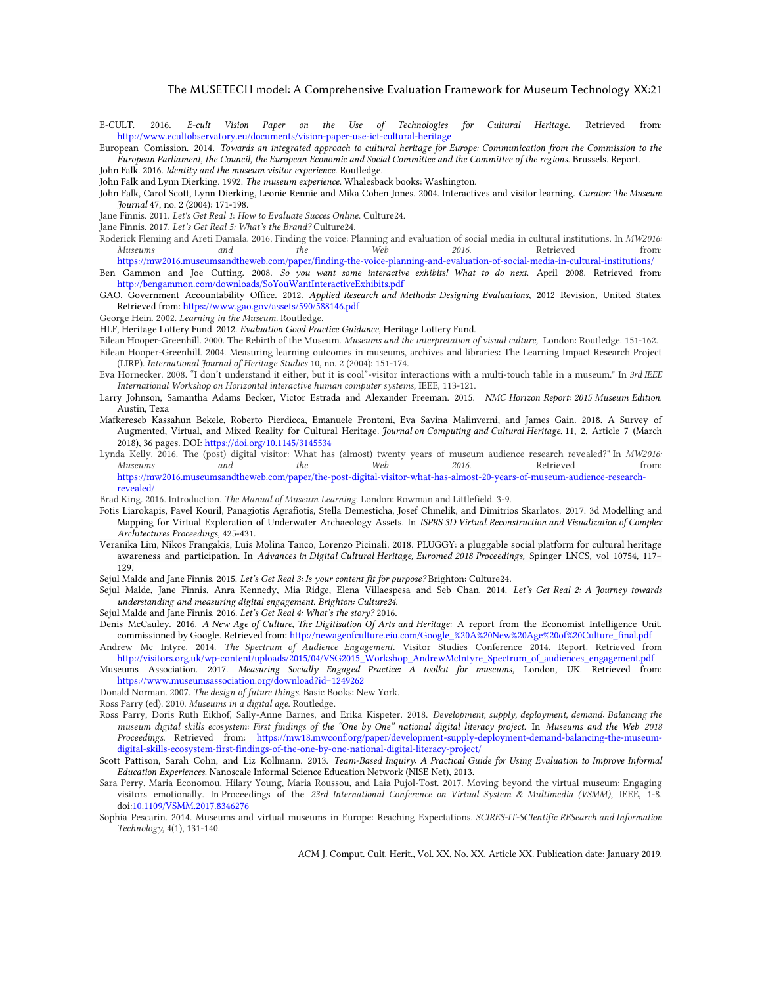E-CULT. 2016. *E-cult Vision Paper on the Use of Technologies for Cultural Heritage*. Retrieved from: <http://www.ecultobservatory.eu/documents/vision-paper-use-ict-cultural-heritage>

European Comission. 2014. *Towards an integrated approach to cultural heritage for Europe: Communication from the Commission to the European Parliament, the Council, the European Economic and Social Committee and the Committee of the regions.* Brussels. Report. John Falk. 2016. *Identity and the museum visitor experience.* Routledge.

John Falk and Lynn Dierking. 1992. *The museum experience*. Whalesback books: Washington.

John Falk, Carol Scott, Lynn Dierking, Leonie Rennie and Mika Cohen Jones. 2004. Interactives and visitor learning. *Curator: The Museum Journal* 47, no. 2 (2004): 171-198.

Jane Finnis. 2011. *Let's Get Real 1*: *How to Evaluate Succes Online.* Culture24.

- Jane Finnis. 2017. *Let's Get Real 5: What's the Brand?* Culture24.
- Roderick Fleming and Areti Damala. 2016. Finding the voice: Planning and evaluation of social media in cultural institutions. In *MW2016: Museums and the Web 2016*. Retrieved from: <https://mw2016.museumsandtheweb.com/paper/finding-the-voice-planning-and-evaluation-of-social-media-in-cultural-institutions/>
- Ben Gammon and Joe Cutting. 2008. *So you want some interactive exhibits! What to do next*. April 2008. Retrieved from: <http://bengammon.com/downloads/SoYouWantInteractiveExhibits.pdf>
- GAO, Government Accountability Office. 2012. *Applied Research and Methods: Designing Evaluations*, 2012 Revision, United States. Retrieved from[: https://www.gao.gov/assets/590/588146.pdf](https://www.gao.gov/assets/590/588146.pdf)

George Hein. 2002. *Learning in the Museum*. Routledge.

HLF, Heritage Lottery Fund. 2012. *Evaluation Good Practice Guidance*, Heritage Lottery Fund.

- Eilean Hooper‐Greenhill. 2000. The Rebirth of the Museum. *Museums and the interpretation of visual culture,* London: Routledge. 151-162. Eilean Hooper‐Greenhill. 2004. Measuring learning outcomes in museums, archives and libraries: The Learning Impact Research Project
- (LIRP). *International Journal of Heritage Studies* 10, no. 2 (2004): 151-174.
- Eva Hornecker. 2008. "I don't understand it either, but it is cool"-visitor interactions with a multi-touch table in a museum." In *3rd IEEE International Workshop on Horizontal interactive human computer systems,* IEEE, 113-121.
- Larry Johnson, Samantha Adams Becker, Victor Estrada and Alexander Freeman. 2015. *NMC Horizon Report: 2015 Museum Edition*. Austin, Texa
- Mafkereseb Kassahun Bekele, Roberto Pierdicca, Emanuele Frontoni, Eva Savina Malinverni, and James Gain. 2018. A Survey of Augmented, Virtual, and Mixed Reality for Cultural Heritage. *Journal on Computing and Cultural Heritage.* 11, 2, Article 7 (March 2018), 36 pages. DOI[: https://doi.org/10.1145/3145534](https://doi.org/10.1145/3145534)
- Lynda Kelly. 2016. The (post) digital visitor: What has (almost) twenty years of museum audience research revealed?" In *MW2016: Museums and the Web 2016*. Retrieved from: [https://mw2016.museumsandtheweb.com/paper/the-post-digital-visitor-what-has-almost-20-years-of-museum-audience-research](https://mw2016.museumsandtheweb.com/paper/the-post-digital-visitor-what-has-almost-20-years-of-museum-audience-research-revealed/)[revealed/](https://mw2016.museumsandtheweb.com/paper/the-post-digital-visitor-what-has-almost-20-years-of-museum-audience-research-revealed/)

Brad King. 2016. Introduction. *The Manual of Museum Learning.* London: Rowman and Littlefield. 3-9.

- Fotis Liarokapis, Pavel Kouril, Panagiotis Agrafiotis, Stella Demesticha, Josef Chmelik, and Dimitrios Skarlatos. 2017. 3d Modelling and Mapping for Virtual Exploration of Underwater Archaeology Assets. In *ISPRS 3D Virtual Reconstruction and Visualization of Complex Architectures Proceedings,* 425-431.
- Veranika Lim, Nikos Frangakis, Luis Molina Tanco, Lorenzo Picinali. 2018. PLUGGY: a pluggable social platform for cultural heritage awareness and participation. In *Advances in Digital Cultural Heritage, Euromed 2018 Proceedings,* Spinger LNCS, vol 10754, 117– 129.
- Sejul Malde and Jane Finnis. 2015. *Let's Get Real 3: Is your content fit for purpose?* Brighton: Culture24*.*
- Sejul Malde, Jane Finnis, Anra Kennedy, Mia Ridge, Elena Villaespesa and Seb Chan. 2014. *Let's Get Real 2: A Journey towards understanding and measuring digital engagement. Brighton: Culture24.*
- Sejul Malde and Jane Finnis. 2016. *Let's Get Real 4: What's the story?* 2016.
- Denis McCauley. 2016. *A New Age of Culture, The Digitisation Of Arts and Heritage*: A report from the Economist Intelligence Unit, commissioned by Google. Retrieved from: [http://newageofculture.eiu.com/Google\\_%20A%20New%20Age%20of%20Culture\\_final.pdf](http://newageofculture.eiu.com/Google_%20A%20New%20Age%20of%20Culture_final.pdf)
- Andrew Mc Intyre. 2014. *The Spectrum of Audience Engagement*. Visitor Studies Conference 2014. Report. Retrieved from [http://visitors.org.uk/wp-content/uploads/2015/04/VSG2015\\_Workshop\\_AndrewMcIntyre\\_Spectrum\\_of\\_audiences\\_engagement.pdf](http://visitors.org.uk/wp-content/uploads/2015/04/VSG2015_Workshop_AndrewMcIntyre_Spectrum_of_audiences_engagement.pdf)
- Museums Association. 2017. *Measuring Socially Engaged Practice: A toolkit for museums*, London, UK. Retrieved from: <https://www.museumsassociation.org/download?id=1249262>
- Donald Norman. 2007. *The design of future things.* Basic Books: New York.
- Ross Parry (ed). 2010. *Museums in a digital age*. Routledge.
- Ross Parry, Doris Ruth Eikhof, Sally-Anne Barnes, and Erika Kispeter. 2018. *Development, supply, deployment, demand: Balancing the museum digital skills ecosystem: First findings of the "One by One" national digital literacy project*. In *Museums and the Web 2018 Proceedings.* Retrieved from: [https://mw18.mwconf.org/paper/development-supply-deployment-demand-balancing-the-museum](https://mw18.mwconf.org/paper/development-supply-deployment-demand-balancing-the-museum-digital-skills-ecosystem-first-findings-of-the-one-by-one-national-digital-literacy-project/)[digital-skills-ecosystem-first-findings-of-the-one-by-one-national-digital-literacy-project/](https://mw18.mwconf.org/paper/development-supply-deployment-demand-balancing-the-museum-digital-skills-ecosystem-first-findings-of-the-one-by-one-national-digital-literacy-project/)
- Scott Pattison, Sarah Cohn, and Liz Kollmann. 2013. *Team-Based Inquiry: A Practical Guide for Using Evaluation to Improve Informal Education Experiences*. Nanoscale Informal Science Education Network (NISE Net), 2013.
- Sara Perry, Maria Economou, Hilary Young, Maria Roussou, and Laia Pujol-Tost. 2017. Moving beyond the virtual museum: Engaging visitors emotionally. In Proceedings of the *23rd International Conference on Virtual System & Multimedia (VSMM)*, IEEE, 1-8. do[i:10.1109/VSMM.2017.8346276](http://dx.doi.org/10.1109/VSMM.2017.8346276)
- Sophia Pescarin. 2014. Museums and virtual museums in Europe: Reaching Expectations. *SCIRES-IT-SCIentific RESearch and Information Technology*, 4(1), 131-140.